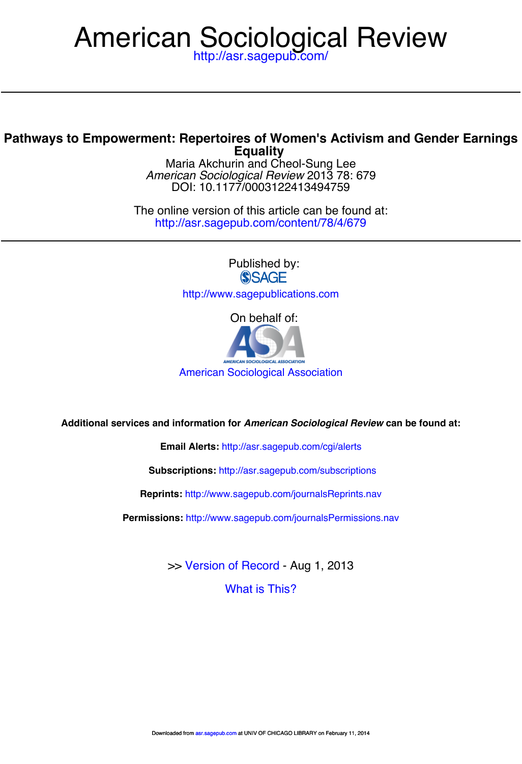## <http://asr.sagepub.com/> American Sociological Review

## **Equality Pathways to Empowerment: Repertoires of Women's Activism and Gender Earnings**

DOI: 10.1177/0003122413494759 *American Sociological Review* 2013 78: 679 Maria Ak[churin and Cheol-Sung Lee](http://asr.sagepub.com/subscriptions)

<http://asr.sagepub.com/content/78/4/679> The onlin[e version of this article can be found at:](http://www.sagepub.com/journalsReprints.nav)



**Additional services and information for** *American Sociological Review* **can be found at:**

**Email Alerts:** <http://asr.sagepub.com/cgi/alerts>

**Subscriptions:** <http://asr.sagepub.com/subscriptions>

**Reprints:** <http://www.sagepub.com/journalsReprints.nav>

**Permissions:** <http://www.sagepub.com/journalsPermissions.nav>

>> [Version of Record -](http://asr.sagepub.com/content/78/4/679.full.pdf) Aug 1, 2013

[What is This?](http://online.sagepub.com/site/sphelp/vorhelp.xhtml)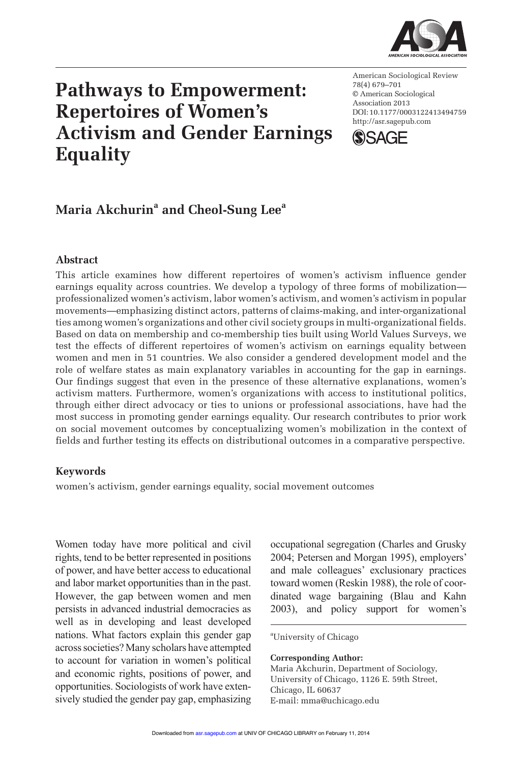

# **Pathways to Empowerment: Repertoires of Women's Activism and Gender Earnings Equality**

American Sociological Review 78(4) 679–701 © American Sociological Association 2013 DOI: 10.1177/0003122413494759 http://asr.sagepub.com



## Maria Akchurin<sup>a</sup> and Cheol-Sung Lee<sup>a</sup>

#### **Abstract**

This article examines how different repertoires of women's activism influence gender earnings equality across countries. We develop a typology of three forms of mobilization professionalized women's activism, labor women's activism, and women's activism in popular movements—emphasizing distinct actors, patterns of claims-making, and inter-organizational ties among women's organizations and other civil society groups in multi-organizational fields. Based on data on membership and co-membership ties built using World Values Surveys, we test the effects of different repertoires of women's activism on earnings equality between women and men in 51 countries. We also consider a gendered development model and the role of welfare states as main explanatory variables in accounting for the gap in earnings. Our findings suggest that even in the presence of these alternative explanations, women's activism matters. Furthermore, women's organizations with access to institutional politics, through either direct advocacy or ties to unions or professional associations, have had the most success in promoting gender earnings equality. Our research contributes to prior work on social movement outcomes by conceptualizing women's mobilization in the context of fields and further testing its effects on distributional outcomes in a comparative perspective.

#### **Keywords**

women's activism, gender earnings equality, social movement outcomes

Women today have more political and civil rights, tend to be better represented in positions of power, and have better access to educational and labor market opportunities than in the past. However, the gap between women and men persists in advanced industrial democracies as well as in developing and least developed nations. What factors explain this gender gap across societies? Many scholars have attempted to account for variation in women's political and economic rights, positions of power, and opportunities. Sociologists of work have extensively studied the gender pay gap, emphasizing occupational segregation (Charles and Grusky 2004; Petersen and Morgan 1995), employers' and male colleagues' exclusionary practices toward women (Reskin 1988), the role of coordinated wage bargaining (Blau and Kahn 2003), and policy support for women's

a University of Chicago

**Corresponding Author:**

Maria Akchurin, Department of Sociology, University of Chicago, 1126 E. 59th Street, Chicago, IL 60637 [E-mail: mm](http://asr.sagepub.com/)a@uchicago.edu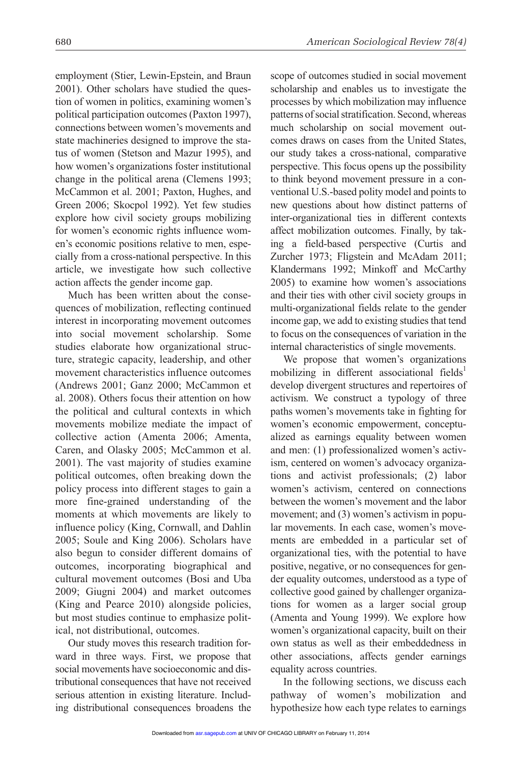employment (Stier, Lewin-Epstein, and Braun 2001). Other scholars have studied the question of women in politics, examining women's political participation outcomes (Paxton 1997), connections between women's movements and state machineries designed to improve the status of women (Stetson and Mazur 1995), and how women's organizations foster institutional change in the political arena (Clemens 1993; McCammon et al. 2001; Paxton, Hughes, and Green 2006; Skocpol 1992). Yet few studies explore how civil society groups mobilizing for women's economic rights influence women's economic positions relative to men, especially from a cross-national perspective. In this article, we investigate how such collective action affects the gender income gap.

Much has been written about the consequences of mobilization, reflecting continued interest in incorporating movement outcomes into social movement scholarship. Some studies elaborate how organizational structure, strategic capacity, leadership, and other movement characteristics influence outcomes (Andrews 2001; Ganz 2000; McCammon et al. 2008). Others focus their attention on how the political and cultural contexts in which movements mobilize mediate the impact of collective action (Amenta 2006; Amenta, Caren, and Olasky 2005; McCammon et al. 2001). The vast majority of studies examine political outcomes, often breaking down the policy process into different stages to gain a more fine-grained understanding of the moments at which movements are likely to influence policy (King, Cornwall, and Dahlin 2005; Soule and King 2006). Scholars have also begun to consider different domains of outcomes, incorporating biographical and cultural movement outcomes (Bosi and Uba 2009; Giugni 2004) and market outcomes (King and Pearce 2010) alongside policies, but most studies continue to emphasize political, not distributional, outcomes.

Our study moves this research tradition forward in three ways. First, we propose that social movements have socioeconomic and distributional consequences that have not received serious attention in existing literature. Including distributional consequences broadens the scope of outcomes studied in social movement scholarship and enables us to investigate the processes by which mobilization may influence patterns of social stratification. Second, whereas much scholarship on social movement outcomes draws on cases from the United States, our study takes a cross-national, comparative perspective. This focus opens up the possibility to think beyond movement pressure in a conventional U.S.-based polity model and points to new questions about how distinct patterns of inter-organizational ties in different contexts affect mobilization outcomes. Finally, by taking a field-based perspective (Curtis and Zurcher 1973; Fligstein and McAdam 2011; Klandermans 1992; Minkoff and McCarthy 2005) to examine how women's associations and their ties with other civil society groups in multi-organizational fields relate to the gender income gap, we add to existing studies that tend to focus on the consequences of variation in the internal characteristics of single movements.

We propose that women's organizations mobilizing in different associational fields<sup>1</sup> develop divergent structures and repertoires of activism. We construct a typology of three paths women's movements take in fighting for women's economic empowerment, conceptualized as earnings equality between women and men: (1) professionalized women's activism, centered on women's advocacy organizations and activist professionals; (2) labor women's activism, centered on connections between the women's movement and the labor movement; and (3) women's activism in popular movements. In each case, women's movements are embedded in a particular set of organizational ties, with the potential to have positive, negative, or no consequences for gender equality outcomes, understood as a type of collective good gained by challenger organizations for women as a larger social group (Amenta and Young 1999). We explore how women's organizational capacity, built on their own status as well as their embeddedness in other associations, affects gender earnings equality across countries.

In the following sections, we discuss each [pathway](http://asr.sagepub.com/) of women's mobilization and hypothesize how each type relates to earnings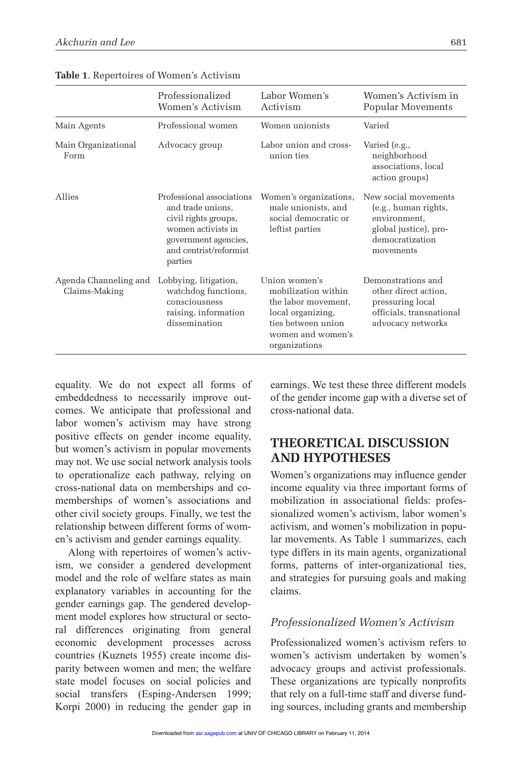|                                        | Professionalized<br>Women's Activism                                                                                                                      | Labor Women's<br>Activism                                                                                                                    | Women's Activism in<br>Popular Movements                                                                              |
|----------------------------------------|-----------------------------------------------------------------------------------------------------------------------------------------------------------|----------------------------------------------------------------------------------------------------------------------------------------------|-----------------------------------------------------------------------------------------------------------------------|
| Main Agents                            | Professional women                                                                                                                                        | Women unionists                                                                                                                              | Varied                                                                                                                |
| Main Organizational<br>Form            | Advocacy group                                                                                                                                            | Labor union and cross-<br>union ties                                                                                                         | Varied (e.g.,<br>neighborhood<br>associations, local<br>action groups)                                                |
| Allies                                 | Professional associations<br>and trade unions.<br>civil rights groups,<br>women activists in<br>government agencies,<br>and centrist/reformist<br>parties | Women's organizations,<br>male unionists, and<br>social democratic or<br>leftist parties                                                     | New social movements<br>(e.g., human rights,<br>environment.<br>global justice), pro-<br>democratization<br>movements |
| Agenda Channeling and<br>Claims-Making | Lobbying, litigation,<br>watchdog functions,<br>consciousness<br>raising, information<br>dissemination                                                    | Union women's<br>mobilization within<br>the labor movement,<br>local organizing,<br>ties between union<br>women and women's<br>organizations | Demonstrations and<br>other direct action,<br>pressuring local<br>officials, transnational<br>advocacy networks       |

**Table 1**. Repertoires of Women's Activism

equality. We do not expect all forms of embeddedness to necessarily improve outcomes. We anticipate that professional and labor women's activism may have strong positive effects on gender income equality, but women's activism in popular movements may not. We use social network analysis tools to operationalize each pathway, relying on cross-national data on memberships and comemberships of women's associations and other civil society groups. Finally, we test the relationship between different forms of women's activism and gender earnings equality.

Along with repertoires of women's activism, we consider a gendered development model and the role of welfare states as main explanatory variables in accounting for the gender earnings gap. The gendered development model explores how structural or sectoral differences originating from general economic development processes across countries (Kuznets 1955) create income disparity between women and men; the welfare state model focuses on social policies and social transfers (Esping-Andersen 1999; Korpi 2000) in reducing the gender gap in earnings. We test these three different models of the gender income gap with a diverse set of cross-national data.

## **THEORETICAL DISCUSSION AND HYPOTHESES**

Women's organizations may influence gender income equality via three important forms of mobilization in associational fields: professionalized women's activism, labor women's activism, and women's mobilization in popular movements. As Table 1 summarizes, each type differs in its main agents, organizational forms, patterns of inter-organizational ties, and strategies for pursuing goals and making claims.

## *Professionalized Women's Activism*

Professionalized women's activism refers to women's activism undertaken by women's advocacy groups and activist professionals. These organizations are typically nonprofits [that rely on](http://asr.sagepub.com/) a full-time staff and diverse funding sources, including grants and membership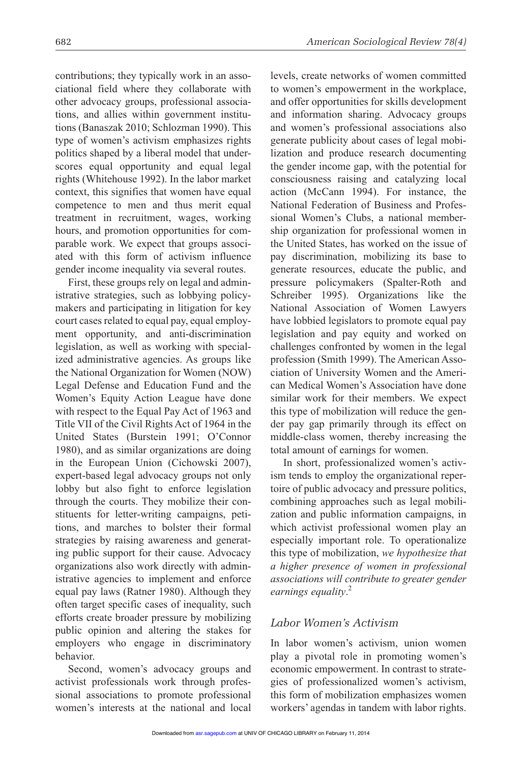contributions; they typically work in an associational field where they collaborate with other advocacy groups, professional associations, and allies within government institutions (Banaszak 2010; Schlozman 1990). This type of women's activism emphasizes rights politics shaped by a liberal model that underscores equal opportunity and equal legal rights (Whitehouse 1992). In the labor market context, this signifies that women have equal competence to men and thus merit equal treatment in recruitment, wages, working hours, and promotion opportunities for comparable work. We expect that groups associated with this form of activism influence gender income inequality via several routes.

First, these groups rely on legal and administrative strategies, such as lobbying policymakers and participating in litigation for key court cases related to equal pay, equal employment opportunity, and anti-discrimination legislation, as well as working with specialized administrative agencies. As groups like the National Organization for Women (NOW) Legal Defense and Education Fund and the Women's Equity Action League have done with respect to the Equal Pay Act of 1963 and Title VII of the Civil Rights Act of 1964 in the United States (Burstein 1991; O'Connor 1980), and as similar organizations are doing in the European Union (Cichowski 2007), expert-based legal advocacy groups not only lobby but also fight to enforce legislation through the courts. They mobilize their constituents for letter-writing campaigns, petitions, and marches to bolster their formal strategies by raising awareness and generating public support for their cause. Advocacy organizations also work directly with administrative agencies to implement and enforce equal pay laws (Ratner 1980). Although they often target specific cases of inequality, such efforts create broader pressure by mobilizing public opinion and altering the stakes for employers who engage in discriminatory behavior.

Second, women's advocacy groups and activist professionals work through professional associations to promote professional women's interests at the national and local levels, create networks of women committed to women's empowerment in the workplace, and offer opportunities for skills development and information sharing. Advocacy groups and women's professional associations also generate publicity about cases of legal mobilization and produce research documenting the gender income gap, with the potential for consciousness raising and catalyzing local action (McCann 1994). For instance, the National Federation of Business and Professional Women's Clubs, a national membership organization for professional women in the United States, has worked on the issue of pay discrimination, mobilizing its base to generate resources, educate the public, and pressure policymakers (Spalter-Roth and Schreiber 1995). Organizations like the National Association of Women Lawyers have lobbied legislators to promote equal pay legislation and pay equity and worked on challenges confronted by women in the legal profession (Smith 1999). The American Association of University Women and the American Medical Women's Association have done similar work for their members. We expect this type of mobilization will reduce the gender pay gap primarily through its effect on middle-class women, thereby increasing the total amount of earnings for women.

In short, professionalized women's activism tends to employ the organizational repertoire of public advocacy and pressure politics, combining approaches such as legal mobilization and public information campaigns, in which activist professional women play an especially important role. To operationalize this type of mobilization, *we hypothesize that a higher presence of women in professional associations will contribute to greater gender earnings equality*. 2

## *Labor Women's Activism*

In labor women's activism, union women play a pivotal role in promoting women's economic empowerment. In contrast to strategies of professionalized women's activism, [this form o](http://asr.sagepub.com/)f mobilization emphasizes women workers' agendas in tandem with labor rights.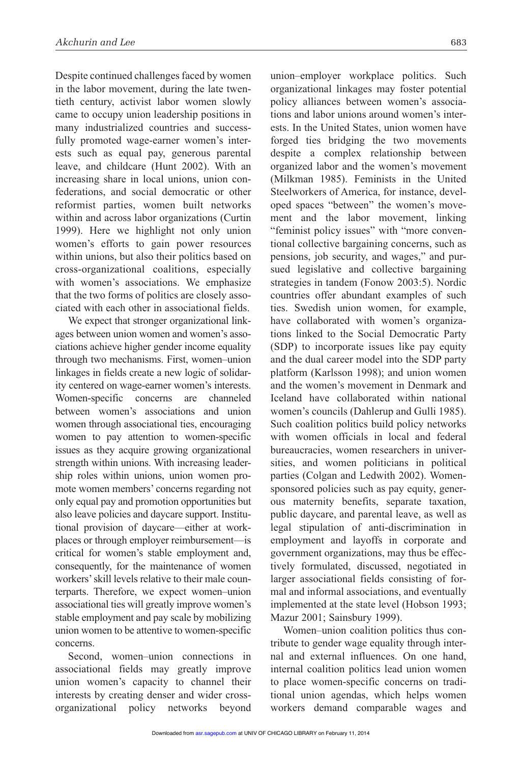Despite continued challenges faced by women in the labor movement, during the late twentieth century, activist labor women slowly came to occupy union leadership positions in many industrialized countries and successfully promoted wage-earner women's interests such as equal pay, generous parental leave, and childcare (Hunt 2002). With an increasing share in local unions, union confederations, and social democratic or other reformist parties, women built networks within and across labor organizations (Curtin 1999). Here we highlight not only union women's efforts to gain power resources within unions, but also their politics based on cross-organizational coalitions, especially with women's associations. We emphasize that the two forms of politics are closely associated with each other in associational fields.

We expect that stronger organizational linkages between union women and women's associations achieve higher gender income equality through two mechanisms. First, women–union linkages in fields create a new logic of solidarity centered on wage-earner women's interests. Women-specific concerns are channeled between women's associations and union women through associational ties, encouraging women to pay attention to women-specific issues as they acquire growing organizational strength within unions. With increasing leadership roles within unions, union women promote women members' concerns regarding not only equal pay and promotion opportunities but also leave policies and daycare support. Institutional provision of daycare—either at workplaces or through employer reimbursement—is critical for women's stable employment and, consequently, for the maintenance of women workers' skill levels relative to their male counterparts. Therefore, we expect women–union associational ties will greatly improve women's stable employment and pay scale by mobilizing union women to be attentive to women-specific concerns.

Second, women–union connections in associational fields may greatly improve union women's capacity to channel their interests by creating denser and wider crossorganizational policy networks beyond union–employer workplace politics. Such organizational linkages may foster potential policy alliances between women's associations and labor unions around women's interests. In the United States, union women have forged ties bridging the two movements despite a complex relationship between organized labor and the women's movement (Milkman 1985). Feminists in the United Steelworkers of America, for instance, developed spaces "between" the women's movement and the labor movement, linking "feminist policy issues" with "more conventional collective bargaining concerns, such as pensions, job security, and wages," and pursued legislative and collective bargaining strategies in tandem (Fonow 2003:5). Nordic countries offer abundant examples of such ties. Swedish union women, for example, have collaborated with women's organizations linked to the Social Democratic Party (SDP) to incorporate issues like pay equity and the dual career model into the SDP party platform (Karlsson 1998); and union women and the women's movement in Denmark and Iceland have collaborated within national women's councils (Dahlerup and Gulli 1985). Such coalition politics build policy networks with women officials in local and federal bureaucracies, women researchers in universities, and women politicians in political parties (Colgan and Ledwith 2002). Womensponsored policies such as pay equity, generous maternity benefits, separate taxation, public daycare, and parental leave, as well as legal stipulation of anti-discrimination in employment and layoffs in corporate and government organizations, may thus be effectively formulated, discussed, negotiated in larger associational fields consisting of formal and informal associations, and eventually implemented at the state level (Hobson 1993; Mazur 2001; Sainsbury 1999).

Women–union coalition politics thus contribute to gender wage equality through internal and external influences. On one hand, internal coalition politics lead union women to place women-specific concerns on tradi[tional unio](http://asr.sagepub.com/)n agendas, which helps women workers demand comparable wages and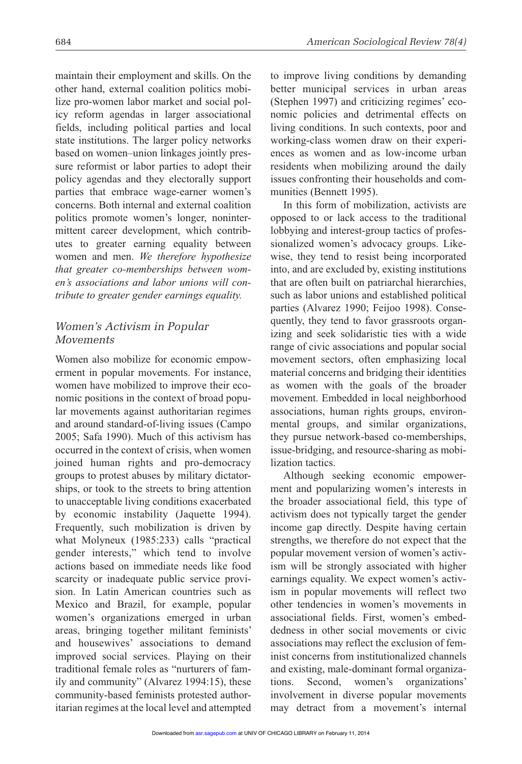maintain their employment and skills. On the other hand, external coalition politics mobilize pro-women labor market and social policy reform agendas in larger associational fields, including political parties and local state institutions. The larger policy networks based on women–union linkages jointly pressure reformist or labor parties to adopt their policy agendas and they electorally support parties that embrace wage-earner women's concerns. Both internal and external coalition politics promote women's longer, nonintermittent career development, which contributes to greater earning equality between women and men. *We therefore hypothesize that greater co-memberships between women's associations and labor unions will contribute to greater gender earnings equality.*

## *Women's Activism in Popular Movements*

Women also mobilize for economic empowerment in popular movements. For instance, women have mobilized to improve their economic positions in the context of broad popular movements against authoritarian regimes and around standard-of-living issues (Campo 2005; Safa 1990). Much of this activism has occurred in the context of crisis, when women joined human rights and pro-democracy groups to protest abuses by military dictatorships, or took to the streets to bring attention to unacceptable living conditions exacerbated by economic instability (Jaquette 1994). Frequently, such mobilization is driven by what Molyneux (1985:233) calls "practical gender interests," which tend to involve actions based on immediate needs like food scarcity or inadequate public service provision. In Latin American countries such as Mexico and Brazil, for example, popular women's organizations emerged in urban areas, bringing together militant feminists' and housewives' associations to demand improved social services. Playing on their traditional female roles as "nurturers of family and community" (Alvarez 1994:15), these community-based feminists protested authoritarian regimes at the local level and attempted

to improve living conditions by demanding better municipal services in urban areas (Stephen 1997) and criticizing regimes' economic policies and detrimental effects on living conditions. In such contexts, poor and working-class women draw on their experiences as women and as low-income urban residents when mobilizing around the daily issues confronting their households and communities (Bennett 1995).

In this form of mobilization, activists are opposed to or lack access to the traditional lobbying and interest-group tactics of professionalized women's advocacy groups. Likewise, they tend to resist being incorporated into, and are excluded by, existing institutions that are often built on patriarchal hierarchies, such as labor unions and established political parties (Alvarez 1990; Feijoo 1998). Consequently, they tend to favor grassroots organizing and seek solidaristic ties with a wide range of civic associations and popular social movement sectors, often emphasizing local material concerns and bridging their identities as women with the goals of the broader movement. Embedded in local neighborhood associations, human rights groups, environmental groups, and similar organizations, they pursue network-based co-memberships, issue-bridging, and resource-sharing as mobilization tactics.

Although seeking economic empowerment and popularizing women's interests in the broader associational field, this type of activism does not typically target the gender income gap directly. Despite having certain strengths, we therefore do not expect that the popular movement version of women's activism will be strongly associated with higher earnings equality. We expect women's activism in popular movements will reflect two other tendencies in women's movements in associational fields. First, women's embeddedness in other social movements or civic associations may reflect the exclusion of feminist concerns from institutionalized channels and existing, male-dominant formal organizations. Second, women's organizations' [involveme](http://asr.sagepub.com/)nt in diverse popular movements may detract from a movement's internal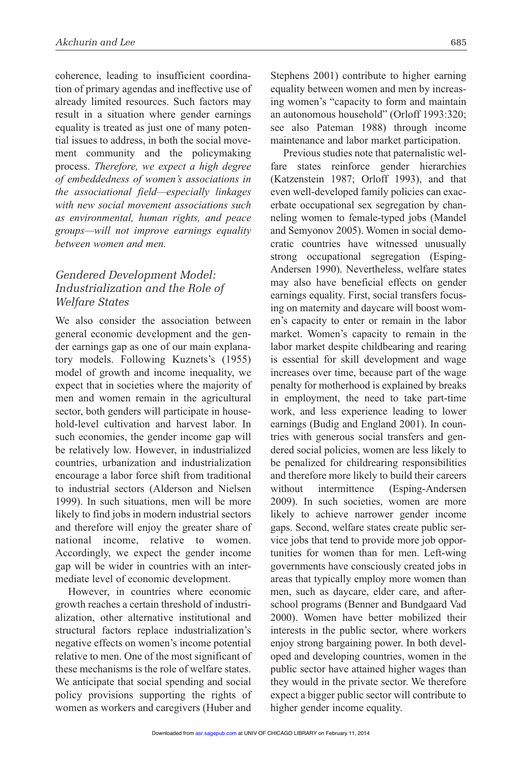coherence, leading to insufficient coordination of primary agendas and ineffective use of already limited resources. Such factors may result in a situation where gender earnings equality is treated as just one of many potential issues to address, in both the social movement community and the policymaking process. *Therefore, we expect a high degree of embeddedness of women's associations in the associational field—especially linkages with new social movement associations such as environmental, human rights, and peace groups—will not improve earnings equality between women and men.*

## *Gendered Development Model: Industrialization and the Role of Welfare States*

We also consider the association between general economic development and the gender earnings gap as one of our main explanatory models. Following Kuznets's (1955) model of growth and income inequality, we expect that in societies where the majority of men and women remain in the agricultural sector, both genders will participate in household-level cultivation and harvest labor. In such economies, the gender income gap will be relatively low. However, in industrialized countries, urbanization and industrialization encourage a labor force shift from traditional to industrial sectors (Alderson and Nielsen 1999). In such situations, men will be more likely to find jobs in modern industrial sectors and therefore will enjoy the greater share of national income, relative to women. Accordingly, we expect the gender income gap will be wider in countries with an intermediate level of economic development.

However, in countries where economic growth reaches a certain threshold of industrialization, other alternative institutional and structural factors replace industrialization's negative effects on women's income potential relative to men. One of the most significant of these mechanisms is the role of welfare states. We anticipate that social spending and social policy provisions supporting the rights of women as workers and caregivers (Huber and

Stephens 2001) contribute to higher earning equality between women and men by increasing women's "capacity to form and maintain an autonomous household" (Orloff 1993:320; see also Pateman 1988) through income maintenance and labor market participation.

Previous studies note that paternalistic welfare states reinforce gender hierarchies (Katzenstein 1987; Orloff 1993), and that even well-developed family policies can exacerbate occupational sex segregation by channeling women to female-typed jobs (Mandel and Semyonov 2005). Women in social democratic countries have witnessed unusually strong occupational segregation (Esping-Andersen 1990). Nevertheless, welfare states may also have beneficial effects on gender earnings equality. First, social transfers focusing on maternity and daycare will boost women's capacity to enter or remain in the labor market. Women's capacity to remain in the labor market despite childbearing and rearing is essential for skill development and wage increases over time, because part of the wage penalty for motherhood is explained by breaks in employment, the need to take part-time work, and less experience leading to lower earnings (Budig and England 2001). In countries with generous social transfers and gendered social policies, women are less likely to be penalized for childrearing responsibilities and therefore more likely to build their careers without intermittence (Esping-Andersen 2009). In such societies, women are more likely to achieve narrower gender income gaps. Second, welfare states create public service jobs that tend to provide more job opportunities for women than for men. Left-wing governments have consciously created jobs in areas that typically employ more women than men, such as daycare, elder care, and afterschool programs (Benner and Bundgaard Vad 2000). Women have better mobilized their interests in the public sector, where workers enjoy strong bargaining power. In both developed and developing countries, women in the public sector have attained higher wages than they would in the private sector. We therefore [expect a bi](http://asr.sagepub.com/)gger public sector will contribute to higher gender income equality.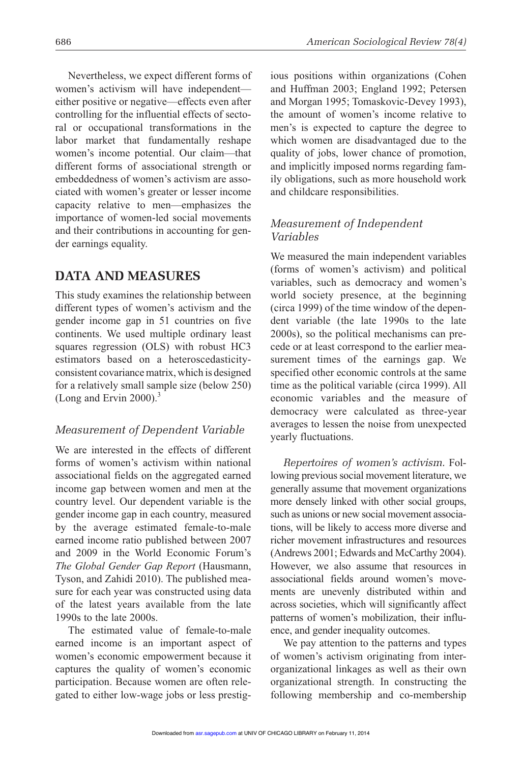Nevertheless, we expect different forms of women's activism will have independent either positive or negative—effects even after controlling for the influential effects of sectoral or occupational transformations in the labor market that fundamentally reshape women's income potential. Our claim—that different forms of associational strength or embeddedness of women's activism are associated with women's greater or lesser income capacity relative to men—emphasizes the importance of women-led social movements and their contributions in accounting for gender earnings equality.

## **DATA AND MEASURES**

This study examines the relationship between different types of women's activism and the gender income gap in 51 countries on five continents. We used multiple ordinary least squares regression (OLS) with robust HC3 estimators based on a heteroscedasticityconsistent covariance matrix, which is designed for a relatively small sample size (below 250) (Long and Ervin 2000). $\frac{3}{2}$ 

#### *Measurement of Dependent Variable*

We are interested in the effects of different forms of women's activism within national associational fields on the aggregated earned income gap between women and men at the country level. Our dependent variable is the gender income gap in each country, measured by the average estimated female-to-male earned income ratio published between 2007 and 2009 in the World Economic Forum's *The Global Gender Gap Report* (Hausmann, Tyson, and Zahidi 2010). The published measure for each year was constructed using data of the latest years available from the late 1990s to the late 2000s.

The estimated value of female-to-male earned income is an important aspect of women's economic empowerment because it captures the quality of women's economic participation. Because women are often relegated to either low-wage jobs or less prestigious positions within organizations (Cohen and Huffman 2003; England 1992; Petersen and Morgan 1995; Tomaskovic-Devey 1993), the amount of women's income relative to men's is expected to capture the degree to which women are disadvantaged due to the quality of jobs, lower chance of promotion, and implicitly imposed norms regarding family obligations, such as more household work and childcare responsibilities.

## *Measurement of Independent Variables*

We measured the main independent variables (forms of women's activism) and political variables, such as democracy and women's world society presence, at the beginning (circa 1999) of the time window of the dependent variable (the late 1990s to the late 2000s), so the political mechanisms can precede or at least correspond to the earlier measurement times of the earnings gap. We specified other economic controls at the same time as the political variable (circa 1999). All economic variables and the measure of democracy were calculated as three-year averages to lessen the noise from unexpected yearly fluctuations.

*Repertoires of women's activism.* Following previous social movement literature, we generally assume that movement organizations more densely linked with other social groups, such as unions or new social movement associations, will be likely to access more diverse and richer movement infrastructures and resources (Andrews 2001; Edwards and McCarthy 2004). However, we also assume that resources in associational fields around women's movements are unevenly distributed within and across societies, which will significantly affect patterns of women's mobilization, their influence, and gender inequality outcomes.

We pay attention to the patterns and types of women's activism originating from interorganizational linkages as well as their own organizational strength. In constructing the [following](http://asr.sagepub.com/) membership and co-membership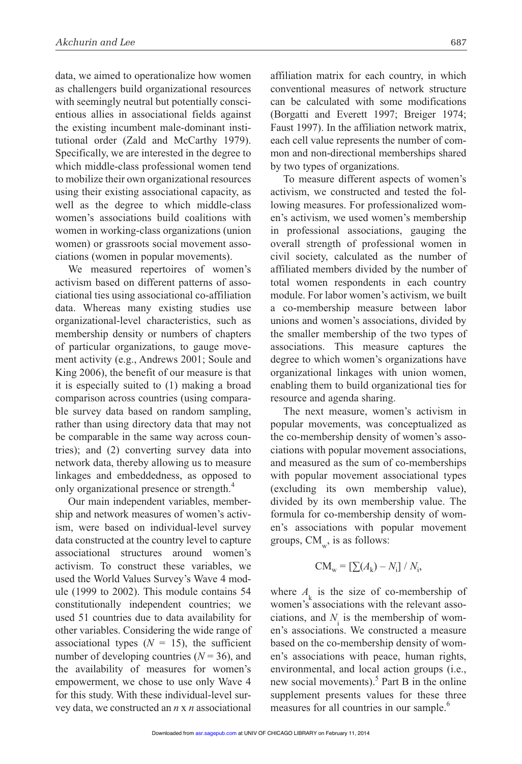data, we aimed to operationalize how women as challengers build organizational resources with seemingly neutral but potentially conscientious allies in associational fields against the existing incumbent male-dominant institutional order (Zald and McCarthy 1979). Specifically, we are interested in the degree to which middle-class professional women tend to mobilize their own organizational resources using their existing associational capacity, as well as the degree to which middle-class women's associations build coalitions with women in working-class organizations (union women) or grassroots social movement associations (women in popular movements).

We measured repertoires of women's activism based on different patterns of associational ties using associational co-affiliation data. Whereas many existing studies use organizational-level characteristics, such as membership density or numbers of chapters of particular organizations, to gauge movement activity (e.g., Andrews 2001; Soule and King 2006), the benefit of our measure is that it is especially suited to (1) making a broad comparison across countries (using comparable survey data based on random sampling, rather than using directory data that may not be comparable in the same way across countries); and (2) converting survey data into network data, thereby allowing us to measure linkages and embeddedness, as opposed to only organizational presence or strength.<sup>4</sup>

Our main independent variables, membership and network measures of women's activism, were based on individual-level survey data constructed at the country level to capture associational structures around women's activism. To construct these variables, we used the World Values Survey's Wave 4 module (1999 to 2002). This module contains 54 constitutionally independent countries; we used 51 countries due to data availability for other variables. Considering the wide range of associational types  $(N = 15)$ , the sufficient number of developing countries  $(N = 36)$ , and the availability of measures for women's empowerment, we chose to use only Wave 4 for this study. With these individual-level survey data, we constructed an *n* x *n* associational affiliation matrix for each country, in which conventional measures of network structure can be calculated with some modifications (Borgatti and Everett 1997; Breiger 1974; Faust 1997). In the affiliation network matrix, each cell value represents the number of common and non-directional memberships shared by two types of organizations.

To measure different aspects of women's activism, we constructed and tested the following measures. For professionalized women's activism, we used women's membership in professional associations, gauging the overall strength of professional women in civil society, calculated as the number of affiliated members divided by the number of total women respondents in each country module. For labor women's activism, we built a co-membership measure between labor unions and women's associations, divided by the smaller membership of the two types of associations. This measure captures the degree to which women's organizations have organizational linkages with union women, enabling them to build organizational ties for resource and agenda sharing.

The next measure, women's activism in popular movements, was conceptualized as the co-membership density of women's associations with popular movement associations, and measured as the sum of co-memberships with popular movement associational types (excluding its own membership value), divided by its own membership value. The formula for co-membership density of women's associations with popular movement groups,  $CM_{\omega}$ , is as follows:

$$
CM_w = \left[\sum(A_k) - N_i\right] / N_i,
$$

where  $A_k$  is the size of co-membership of women's associations with the relevant associations, and  $N_i$  is the membership of women's associations. We constructed a measure based on the co-membership density of women's associations with peace, human rights, environmental, and local action groups (i.e., new social movements).<sup>5</sup> Part B in the online [supplemen](http://asr.sagepub.com/)t presents values for these three measures for all countries in our sample.<sup>6</sup>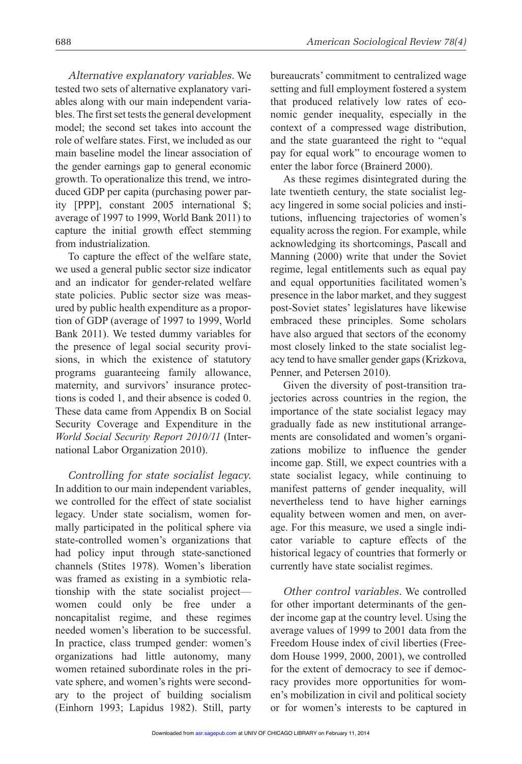*Alternative explanatory variables.* We tested two sets of alternative explanatory variables along with our main independent variables. The first set tests the general development model; the second set takes into account the role of welfare states. First, we included as our main baseline model the linear association of the gender earnings gap to general economic growth. To operationalize this trend, we introduced GDP per capita (purchasing power parity [PPP], constant 2005 international \$; average of 1997 to 1999, World Bank 2011) to capture the initial growth effect stemming from industrialization.

To capture the effect of the welfare state, we used a general public sector size indicator and an indicator for gender-related welfare state policies. Public sector size was measured by public health expenditure as a proportion of GDP (average of 1997 to 1999, World Bank 2011). We tested dummy variables for the presence of legal social security provisions, in which the existence of statutory programs guaranteeing family allowance, maternity, and survivors' insurance protections is coded 1, and their absence is coded 0. These data came from Appendix B on Social Security Coverage and Expenditure in the *World Social Security Report 2010/11* (International Labor Organization 2010).

*Controlling for state socialist legacy.* In addition to our main independent variables, we controlled for the effect of state socialist legacy. Under state socialism, women formally participated in the political sphere via state-controlled women's organizations that had policy input through state-sanctioned channels (Stites 1978). Women's liberation was framed as existing in a symbiotic relationship with the state socialist project women could only be free under a noncapitalist regime, and these regimes needed women's liberation to be successful. In practice, class trumped gender: women's organizations had little autonomy, many women retained subordinate roles in the private sphere, and women's rights were secondary to the project of building socialism (Einhorn 1993; Lapidus 1982). Still, party bureaucrats' commitment to centralized wage setting and full employment fostered a system that produced relatively low rates of economic gender inequality, especially in the context of a compressed wage distribution, and the state guaranteed the right to "equal pay for equal work" to encourage women to enter the labor force (Brainerd 2000).

As these regimes disintegrated during the late twentieth century, the state socialist legacy lingered in some social policies and institutions, influencing trajectories of women's equality across the region. For example, while acknowledging its shortcomings, Pascall and Manning (2000) write that under the Soviet regime, legal entitlements such as equal pay and equal opportunities facilitated women's presence in the labor market, and they suggest post-Soviet states' legislatures have likewise embraced these principles. Some scholars have also argued that sectors of the economy most closely linked to the state socialist legacy tend to have smaller gender gaps (Krizkova, Penner, and Petersen 2010).

Given the diversity of post-transition trajectories across countries in the region, the importance of the state socialist legacy may gradually fade as new institutional arrangements are consolidated and women's organizations mobilize to influence the gender income gap. Still, we expect countries with a state socialist legacy, while continuing to manifest patterns of gender inequality, will nevertheless tend to have higher earnings equality between women and men, on average. For this measure, we used a single indicator variable to capture effects of the historical legacy of countries that formerly or currently have state socialist regimes.

*Other control variables.* We controlled for other important determinants of the gender income gap at the country level. Using the average values of 1999 to 2001 data from the Freedom House index of civil liberties (Freedom House 1999, 2000, 2001), we controlled for the extent of democracy to see if democracy provides more opportunities for wom[en's mobili](http://asr.sagepub.com/)zation in civil and political society or for women's interests to be captured in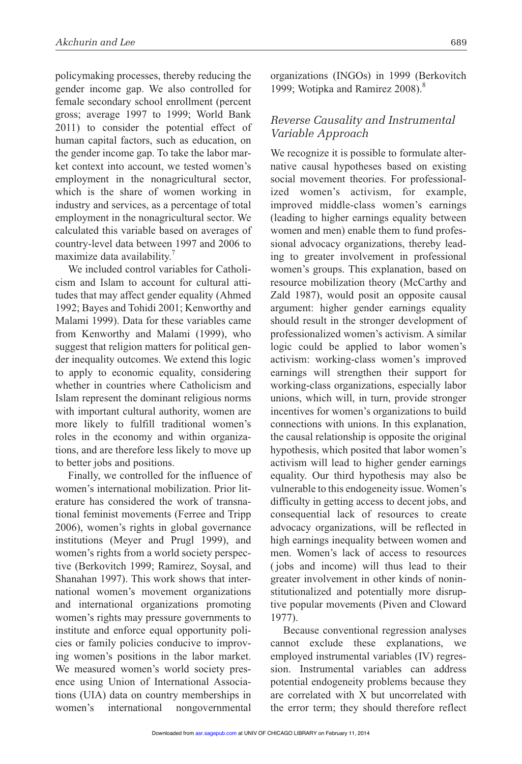policymaking processes, thereby reducing the gender income gap. We also controlled for female secondary school enrollment (percent gross; average 1997 to 1999; World Bank 2011) to consider the potential effect of human capital factors, such as education, on the gender income gap. To take the labor market context into account, we tested women's employment in the nonagricultural sector, which is the share of women working in industry and services, as a percentage of total employment in the nonagricultural sector. We calculated this variable based on averages of country-level data between 1997 and 2006 to maximize data availability.<sup>7</sup>

We included control variables for Catholicism and Islam to account for cultural attitudes that may affect gender equality (Ahmed 1992; Bayes and Tohidi 2001; Kenworthy and Malami 1999). Data for these variables came from Kenworthy and Malami (1999), who suggest that religion matters for political gender inequality outcomes. We extend this logic to apply to economic equality, considering whether in countries where Catholicism and Islam represent the dominant religious norms with important cultural authority, women are more likely to fulfill traditional women's roles in the economy and within organizations, and are therefore less likely to move up to better jobs and positions.

Finally, we controlled for the influence of women's international mobilization. Prior literature has considered the work of transnational feminist movements (Ferree and Tripp 2006), women's rights in global governance institutions (Meyer and Prugl 1999), and women's rights from a world society perspective (Berkovitch 1999; Ramirez, Soysal, and Shanahan 1997). This work shows that international women's movement organizations and international organizations promoting women's rights may pressure governments to institute and enforce equal opportunity policies or family policies conducive to improving women's positions in the labor market. We measured women's world society presence using Union of International Associations (UIA) data on country memberships in women's international nongovernmental

organizations (INGOs) in 1999 (Berkovitch 1999; Wotipka and Ramirez 2008).<sup>8</sup>

## *Reverse Causality and Instrumental Variable Approach*

We recognize it is possible to formulate alternative causal hypotheses based on existing social movement theories. For professionalized women's activism, for example, improved middle-class women's earnings (leading to higher earnings equality between women and men) enable them to fund professional advocacy organizations, thereby leading to greater involvement in professional women's groups. This explanation, based on resource mobilization theory (McCarthy and Zald 1987), would posit an opposite causal argument: higher gender earnings equality should result in the stronger development of professionalized women's activism. A similar logic could be applied to labor women's activism: working-class women's improved earnings will strengthen their support for working-class organizations, especially labor unions, which will, in turn, provide stronger incentives for women's organizations to build connections with unions. In this explanation, the causal relationship is opposite the original hypothesis, which posited that labor women's activism will lead to higher gender earnings equality. Our third hypothesis may also be vulnerable to this endogeneity issue. Women's difficulty in getting access to decent jobs, and consequential lack of resources to create advocacy organizations, will be reflected in high earnings inequality between women and men. Women's lack of access to resources ( jobs and income) will thus lead to their greater involvement in other kinds of noninstitutionalized and potentially more disruptive popular movements (Piven and Cloward 1977).

Because conventional regression analyses cannot exclude these explanations, we employed instrumental variables (IV) regression. Instrumental variables can address potential endogeneity problems because they [are correla](http://asr.sagepub.com/)ted with X but uncorrelated with the error term; they should therefore reflect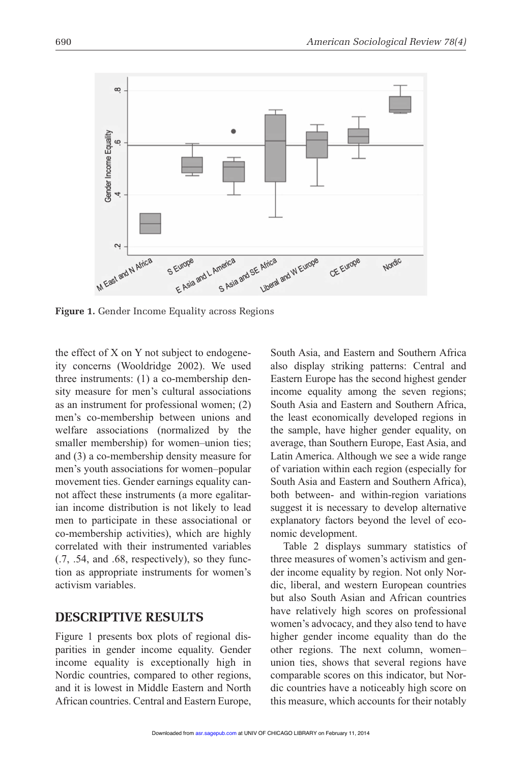

**Figure 1.** Gender Income Equality across Regions

the effect of X on Y not subject to endogeneity concerns (Wooldridge 2002). We used three instruments: (1) a co-membership density measure for men's cultural associations as an instrument for professional women; (2) men's co-membership between unions and welfare associations (normalized by the smaller membership) for women–union ties; and (3) a co-membership density measure for men's youth associations for women–popular movement ties. Gender earnings equality cannot affect these instruments (a more egalitarian income distribution is not likely to lead men to participate in these associational or co-membership activities), which are highly correlated with their instrumented variables (.7, .54, and .68, respectively), so they function as appropriate instruments for women's activism variables.

## **DESCRIPTIVE RESULTS**

Figure 1 presents box plots of regional disparities in gender income equality. Gender income equality is exceptionally high in Nordic countries, compared to other regions, and it is lowest in Middle Eastern and North African countries. Central and Eastern Europe, South Asia, and Eastern and Southern Africa also display striking patterns: Central and Eastern Europe has the second highest gender income equality among the seven regions; South Asia and Eastern and Southern Africa, the least economically developed regions in the sample, have higher gender equality, on average, than Southern Europe, East Asia, and Latin America. Although we see a wide range of variation within each region (especially for South Asia and Eastern and Southern Africa), both between- and within-region variations suggest it is necessary to develop alternative explanatory factors beyond the level of economic development.

Table 2 displays summary statistics of three measures of women's activism and gender income equality by region. Not only Nordic, liberal, and western European countries but also South Asian and African countries have relatively high scores on professional women's advocacy, and they also tend to have higher gender income equality than do the other regions. The next column, women– union ties, shows that several regions have comparable scores on this indicator, but Nordic countries have a noticeably high score on [this measu](http://asr.sagepub.com/)re, which accounts for their notably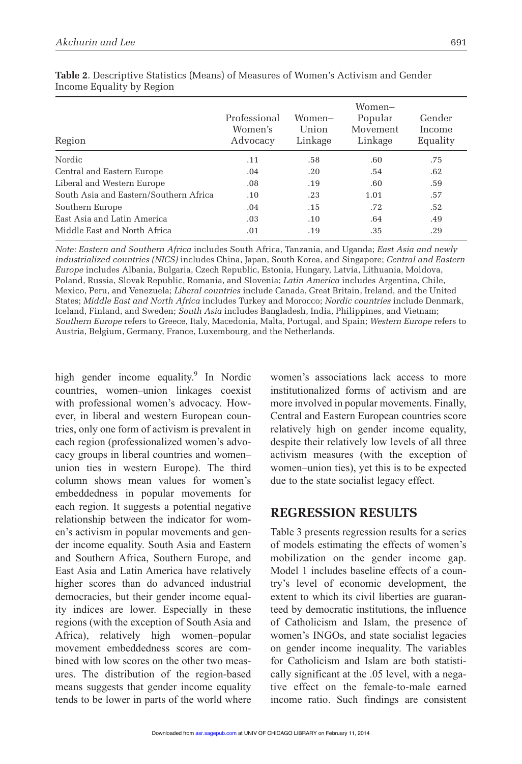| Region                                 | Professional<br>Women's<br>Advocacy | Women-<br>Union<br>Linkage | Women-<br>Popular<br>Movement<br>Linkage | Gender<br>Income<br>Equality |
|----------------------------------------|-------------------------------------|----------------------------|------------------------------------------|------------------------------|
| Nordic                                 | .11                                 | .58                        | .60                                      | .75                          |
| Central and Eastern Europe             | .04                                 | .20                        | .54                                      | .62                          |
| Liberal and Western Europe             | .08                                 | .19                        | .60                                      | .59                          |
| South Asia and Eastern/Southern Africa | .10                                 | .23                        | 1.01                                     | .57                          |
| Southern Europe                        | .04                                 | .15                        | .72                                      | .52                          |
| East Asia and Latin America            | .03                                 | .10                        | .64                                      | .49                          |
| Middle East and North Africa           | .01                                 | .19                        | .35                                      | .29                          |

**Table 2**. Descriptive Statistics (Means) of Measures of Women's Activism and Gender Income Equality by Region

*Note: Eastern and Southern Africa* includes South Africa, Tanzania, and Uganda; *East Asia and newly industrialized countries (NICS)* includes China, Japan, South Korea, and Singapore; *Central and Eastern Europe* includes Albania, Bulgaria, Czech Republic, Estonia, Hungary, Latvia, Lithuania, Moldova, Poland, Russia, Slovak Republic, Romania, and Slovenia; *Latin America* includes Argentina, Chile, Mexico, Peru, and Venezuela; *Liberal countries* include Canada, Great Britain, Ireland, and the United States; *Middle East and North Africa* includes Turkey and Morocco; *Nordic countries* include Denmark, Iceland, Finland, and Sweden; *South Asia* includes Bangladesh, India, Philippines, and Vietnam; *Southern Europe* refers to Greece, Italy, Macedonia, Malta, Portugal, and Spain; *Western Europe* refers to Austria, Belgium, Germany, France, Luxembourg, and the Netherlands.

high gender income equality.<sup>9</sup> In Nordic countries, women–union linkages coexist with professional women's advocacy. However, in liberal and western European countries, only one form of activism is prevalent in each region (professionalized women's advocacy groups in liberal countries and women– union ties in western Europe). The third column shows mean values for women's embeddedness in popular movements for each region. It suggests a potential negative relationship between the indicator for women's activism in popular movements and gender income equality. South Asia and Eastern and Southern Africa, Southern Europe, and East Asia and Latin America have relatively higher scores than do advanced industrial democracies, but their gender income equality indices are lower. Especially in these regions (with the exception of South Asia and Africa), relatively high women–popular movement embeddedness scores are combined with low scores on the other two measures. The distribution of the region-based means suggests that gender income equality tends to be lower in parts of the world where

women's associations lack access to more institutionalized forms of activism and are more involved in popular movements. Finally, Central and Eastern European countries score relatively high on gender income equality, despite their relatively low levels of all three activism measures (with the exception of women–union ties), yet this is to be expected due to the state socialist legacy effect.

## **REGRESSION RESULTS**

Table 3 presents regression results for a series of models estimating the effects of women's mobilization on the gender income gap. Model 1 includes baseline effects of a country's level of economic development, the extent to which its civil liberties are guaranteed by democratic institutions, the influence of Catholicism and Islam, the presence of women's INGOs, and state socialist legacies on gender income inequality. The variables for Catholicism and Islam are both statistically significant at the .05 level, with a negative effect on the female-to-male earned [income ra](http://asr.sagepub.com/)tio. Such findings are consistent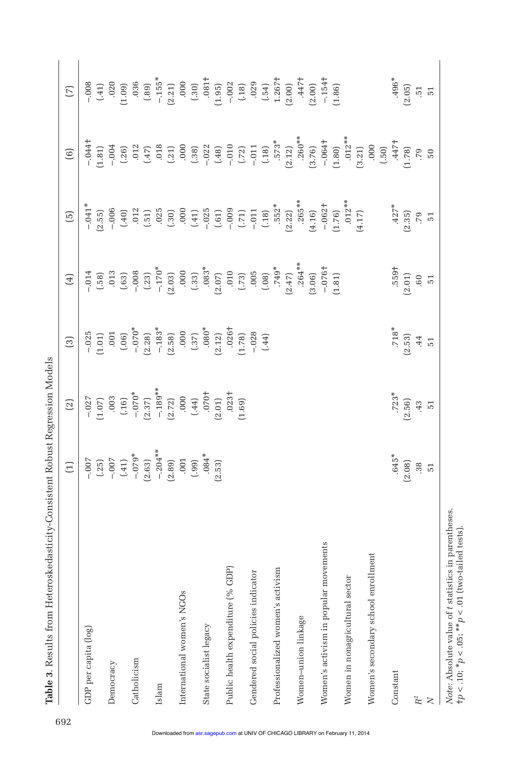|                                                                                                                    | $\Xi$                                                                 | $\boxed{2}$                                                                                                                                                                                                                                                                                                                          | $\odot$                                                                                                                                                                                   | $\left( 4\right)$                                                                                                                                                                                                                                                                                                                                 | $\Xi$                                                                                                                                                                                                 | $\begin{array}{c} \textcircled{\small{6}} \end{array}$ | $\overline{C}$                                                                                                                                                                                                                                                                                                                     |
|--------------------------------------------------------------------------------------------------------------------|-----------------------------------------------------------------------|--------------------------------------------------------------------------------------------------------------------------------------------------------------------------------------------------------------------------------------------------------------------------------------------------------------------------------------|-------------------------------------------------------------------------------------------------------------------------------------------------------------------------------------------|---------------------------------------------------------------------------------------------------------------------------------------------------------------------------------------------------------------------------------------------------------------------------------------------------------------------------------------------------|-------------------------------------------------------------------------------------------------------------------------------------------------------------------------------------------------------|--------------------------------------------------------|------------------------------------------------------------------------------------------------------------------------------------------------------------------------------------------------------------------------------------------------------------------------------------------------------------------------------------|
| GDP per capita (log)                                                                                               | $-0.007$                                                              |                                                                                                                                                                                                                                                                                                                                      |                                                                                                                                                                                           | $-.014$                                                                                                                                                                                                                                                                                                                                           | $-.041*$                                                                                                                                                                                              | $-044$<br>(1.81)                                       |                                                                                                                                                                                                                                                                                                                                    |
|                                                                                                                    | $(0.25)$<br>$-0.007$<br>$(-41)$<br>$-0.079$ *<br>$-0.63$<br>$-204$ ** | $\begin{array}{l} -0.27 \\ -0.07 \\ (1.07) \\ -0.03 \\ (2.37) \\ (2.72) \\ (3.71) \\ (4.4) \\ (2.01) \\ (2.01) \\ (2.01) \\ (2.01) \\ (2.01) \\ (2.01) \\ (2.01) \\ (2.01) \\ (2.01) \\ (2.01) \\ (2.02) \\ (2.01) \\ (2.02) \\ (2.01) \\ (2.02) \\ (2.01) \\ (2.02) \\ (2.01) \\ (2.01) \\ (2.02) \\ (2.01) \\ (2.01) \\ (2.01) \\$ | $-0.025$<br>(1.01)                                                                                                                                                                        | $\begin{array}{l} (58) \\ (163) \\ (163) \\ (163) \\ (163) \\ (163) \\ (163) \\ (163) \\ (163) \\ (163) \\ (163) \\ (163) \\ (163) \\ (163) \\ (163) \\ (163) \\ (163) \\ (163) \\ (163) \\ (163) \\ (163) \\ (163) \\ (163) \\ (163) \\ (163) \\ (163) \\ (163) \\ (163) \\ (163) \\ (163) \\ (163) \\ (163) \\ (163) \\ (163) \\ (163) \\ (163$ | (2.55)                                                                                                                                                                                                |                                                        | (14.1)                                                                                                                                                                                                                                                                                                                             |
| Democracy                                                                                                          |                                                                       |                                                                                                                                                                                                                                                                                                                                      |                                                                                                                                                                                           |                                                                                                                                                                                                                                                                                                                                                   |                                                                                                                                                                                                       |                                                        |                                                                                                                                                                                                                                                                                                                                    |
|                                                                                                                    |                                                                       |                                                                                                                                                                                                                                                                                                                                      |                                                                                                                                                                                           |                                                                                                                                                                                                                                                                                                                                                   |                                                                                                                                                                                                       |                                                        |                                                                                                                                                                                                                                                                                                                                    |
| Catholicism                                                                                                        |                                                                       |                                                                                                                                                                                                                                                                                                                                      |                                                                                                                                                                                           |                                                                                                                                                                                                                                                                                                                                                   |                                                                                                                                                                                                       |                                                        |                                                                                                                                                                                                                                                                                                                                    |
|                                                                                                                    |                                                                       |                                                                                                                                                                                                                                                                                                                                      | 001<br>$(-0.06)$<br>$(-0.28)$<br>$(-2.38)$<br>$(-1.83)$<br>$(-2.38)$<br>$(-2.38)$<br>$(-2.38)$<br>$(-2.38)$<br>$(-2.38)$<br>$(-2.38)$<br>$(-2.38)$<br>$(-2.38)$<br>$(-2.38)$<br>$(-2.38)$ |                                                                                                                                                                                                                                                                                                                                                   | $-0.006$<br>(.40)<br>(.51)<br>(.51)<br>(.55)                                                                                                                                                          |                                                        | $\begin{array}{c} (1200) \\ (1200) \\ (1201) \\ (1201) \\ (1201) \\ (1201) \\ (1201) \\ (1201) \\ (1201) \\ (1201) \\ (1201) \\ (1201) \\ (1201) \\ (1201) \\ (1201) \\ (1201) \\ (1201) \\ (1201) \\ (1201) \\ (1201) \\ (1201) \\ (1201) \\ (1201) \\ (1201) \\ (1201) \\ (1201) \\ (1201) \\ (1201) \\ (1201) \\ (1201) \\ (12$ |
| Islam                                                                                                              |                                                                       |                                                                                                                                                                                                                                                                                                                                      |                                                                                                                                                                                           |                                                                                                                                                                                                                                                                                                                                                   |                                                                                                                                                                                                       |                                                        |                                                                                                                                                                                                                                                                                                                                    |
|                                                                                                                    | (2.89)                                                                |                                                                                                                                                                                                                                                                                                                                      |                                                                                                                                                                                           |                                                                                                                                                                                                                                                                                                                                                   |                                                                                                                                                                                                       |                                                        |                                                                                                                                                                                                                                                                                                                                    |
| International women's NGOs                                                                                         |                                                                       |                                                                                                                                                                                                                                                                                                                                      |                                                                                                                                                                                           |                                                                                                                                                                                                                                                                                                                                                   |                                                                                                                                                                                                       |                                                        |                                                                                                                                                                                                                                                                                                                                    |
|                                                                                                                    | (66)                                                                  |                                                                                                                                                                                                                                                                                                                                      |                                                                                                                                                                                           |                                                                                                                                                                                                                                                                                                                                                   | $(1.30)$ $(1.41)$ $(1.41)$ $(1.51)$ $(1.51)$ $(1.51)$ $(1.51)$ $(1.51)$ $(1.51)$ $(1.51)$ $(1.51)$ $(1.51)$ $(1.51)$ $(1.51)$ $(1.51)$ $(1.51)$ $(1.51)$ $(1.51)$ $(1.51)$ $(1.51)$ $(1.51)$ $(1.51)$ |                                                        |                                                                                                                                                                                                                                                                                                                                    |
| State socialist legacy                                                                                             | $.084*$                                                               |                                                                                                                                                                                                                                                                                                                                      |                                                                                                                                                                                           |                                                                                                                                                                                                                                                                                                                                                   |                                                                                                                                                                                                       |                                                        |                                                                                                                                                                                                                                                                                                                                    |
|                                                                                                                    | (2.53)                                                                |                                                                                                                                                                                                                                                                                                                                      |                                                                                                                                                                                           |                                                                                                                                                                                                                                                                                                                                                   |                                                                                                                                                                                                       |                                                        |                                                                                                                                                                                                                                                                                                                                    |
| Public health expenditure (% GDP)                                                                                  |                                                                       |                                                                                                                                                                                                                                                                                                                                      |                                                                                                                                                                                           |                                                                                                                                                                                                                                                                                                                                                   |                                                                                                                                                                                                       |                                                        |                                                                                                                                                                                                                                                                                                                                    |
|                                                                                                                    |                                                                       |                                                                                                                                                                                                                                                                                                                                      |                                                                                                                                                                                           |                                                                                                                                                                                                                                                                                                                                                   |                                                                                                                                                                                                       |                                                        |                                                                                                                                                                                                                                                                                                                                    |
| Gendered social policies indicator                                                                                 |                                                                       |                                                                                                                                                                                                                                                                                                                                      |                                                                                                                                                                                           |                                                                                                                                                                                                                                                                                                                                                   |                                                                                                                                                                                                       |                                                        |                                                                                                                                                                                                                                                                                                                                    |
|                                                                                                                    |                                                                       |                                                                                                                                                                                                                                                                                                                                      |                                                                                                                                                                                           |                                                                                                                                                                                                                                                                                                                                                   |                                                                                                                                                                                                       |                                                        |                                                                                                                                                                                                                                                                                                                                    |
| Professionalized women's activism                                                                                  |                                                                       |                                                                                                                                                                                                                                                                                                                                      |                                                                                                                                                                                           |                                                                                                                                                                                                                                                                                                                                                   |                                                                                                                                                                                                       |                                                        |                                                                                                                                                                                                                                                                                                                                    |
|                                                                                                                    |                                                                       |                                                                                                                                                                                                                                                                                                                                      |                                                                                                                                                                                           |                                                                                                                                                                                                                                                                                                                                                   |                                                                                                                                                                                                       |                                                        |                                                                                                                                                                                                                                                                                                                                    |
| Women-union linkage                                                                                                |                                                                       |                                                                                                                                                                                                                                                                                                                                      |                                                                                                                                                                                           |                                                                                                                                                                                                                                                                                                                                                   |                                                                                                                                                                                                       |                                                        |                                                                                                                                                                                                                                                                                                                                    |
|                                                                                                                    |                                                                       |                                                                                                                                                                                                                                                                                                                                      |                                                                                                                                                                                           | $.264***$<br>(3.06)                                                                                                                                                                                                                                                                                                                               |                                                                                                                                                                                                       |                                                        |                                                                                                                                                                                                                                                                                                                                    |
| Women's activism in popular movements                                                                              |                                                                       |                                                                                                                                                                                                                                                                                                                                      |                                                                                                                                                                                           |                                                                                                                                                                                                                                                                                                                                                   |                                                                                                                                                                                                       |                                                        | $-.1541$                                                                                                                                                                                                                                                                                                                           |
|                                                                                                                    |                                                                       |                                                                                                                                                                                                                                                                                                                                      |                                                                                                                                                                                           | $-0.076$<br>(1.81)                                                                                                                                                                                                                                                                                                                                |                                                                                                                                                                                                       |                                                        | (1.86)                                                                                                                                                                                                                                                                                                                             |
| Women in nonagricultural sector                                                                                    |                                                                       |                                                                                                                                                                                                                                                                                                                                      |                                                                                                                                                                                           |                                                                                                                                                                                                                                                                                                                                                   |                                                                                                                                                                                                       |                                                        |                                                                                                                                                                                                                                                                                                                                    |
|                                                                                                                    |                                                                       |                                                                                                                                                                                                                                                                                                                                      |                                                                                                                                                                                           |                                                                                                                                                                                                                                                                                                                                                   | $-0.062 +$<br>(1.76)<br>.012**<br>(4.17)                                                                                                                                                              |                                                        |                                                                                                                                                                                                                                                                                                                                    |
| Women's secondary school enrollment                                                                                |                                                                       |                                                                                                                                                                                                                                                                                                                                      |                                                                                                                                                                                           |                                                                                                                                                                                                                                                                                                                                                   |                                                                                                                                                                                                       |                                                        |                                                                                                                                                                                                                                                                                                                                    |
|                                                                                                                    |                                                                       |                                                                                                                                                                                                                                                                                                                                      |                                                                                                                                                                                           |                                                                                                                                                                                                                                                                                                                                                   |                                                                                                                                                                                                       | (0.5, )                                                |                                                                                                                                                                                                                                                                                                                                    |
| Constant                                                                                                           | $.645*$                                                               | $.723*$<br>(2.56)                                                                                                                                                                                                                                                                                                                    | $.718*$<br>(2.53)                                                                                                                                                                         | $.559+$<br>(2.01)                                                                                                                                                                                                                                                                                                                                 | $.427*$<br>(2.35)                                                                                                                                                                                     | $+247+$<br>(1.78)                                      | $.496*$<br>(2.05)                                                                                                                                                                                                                                                                                                                  |
|                                                                                                                    | (2.08)                                                                |                                                                                                                                                                                                                                                                                                                                      |                                                                                                                                                                                           |                                                                                                                                                                                                                                                                                                                                                   |                                                                                                                                                                                                       |                                                        |                                                                                                                                                                                                                                                                                                                                    |
| $\mathbb{R}^2$                                                                                                     | 38                                                                    | .43                                                                                                                                                                                                                                                                                                                                  | .44                                                                                                                                                                                       | $00$ .                                                                                                                                                                                                                                                                                                                                            | .79                                                                                                                                                                                                   | .79                                                    | $\ddot{5}$                                                                                                                                                                                                                                                                                                                         |
| $\geq$                                                                                                             | $\overline{51}$                                                       | $\overline{51}$                                                                                                                                                                                                                                                                                                                      | $\overline{51}$                                                                                                                                                                           | $\overline{51}$                                                                                                                                                                                                                                                                                                                                   | $\overline{51}$                                                                                                                                                                                       | $50\,$                                                 | $\overline{51}$                                                                                                                                                                                                                                                                                                                    |
| Note: Absolute value of t statistics in parentheses.<br>$+p < .10$ ; $* p < .05$ ; $* p < .01$ (two-tailed tests). |                                                                       |                                                                                                                                                                                                                                                                                                                                      |                                                                                                                                                                                           |                                                                                                                                                                                                                                                                                                                                                   |                                                                                                                                                                                                       |                                                        |                                                                                                                                                                                                                                                                                                                                    |

Table 3. Results from Heteroskedasticity-Consistent Robust Regression Models **Table 3**. Results from Heteroskedasticity-Consistent Robust Regression Models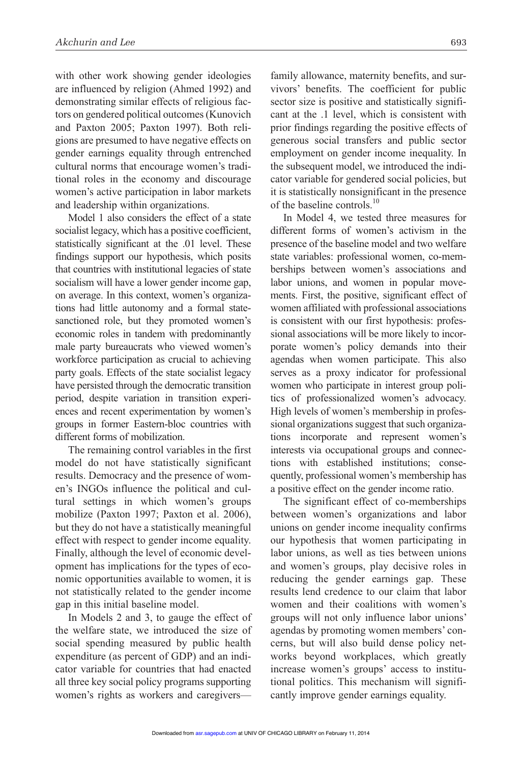with other work showing gender ideologies are influenced by religion (Ahmed 1992) and demonstrating similar effects of religious factors on gendered political outcomes (Kunovich and Paxton 2005; Paxton 1997). Both religions are presumed to have negative effects on gender earnings equality through entrenched cultural norms that encourage women's traditional roles in the economy and discourage women's active participation in labor markets and leadership within organizations.

Model 1 also considers the effect of a state socialist legacy, which has a positive coefficient, statistically significant at the .01 level. These findings support our hypothesis, which posits that countries with institutional legacies of state socialism will have a lower gender income gap, on average. In this context, women's organizations had little autonomy and a formal statesanctioned role, but they promoted women's economic roles in tandem with predominantly male party bureaucrats who viewed women's workforce participation as crucial to achieving party goals. Effects of the state socialist legacy have persisted through the democratic transition period, despite variation in transition experiences and recent experimentation by women's groups in former Eastern-bloc countries with different forms of mobilization.

The remaining control variables in the first model do not have statistically significant results. Democracy and the presence of women's INGOs influence the political and cultural settings in which women's groups mobilize (Paxton 1997; Paxton et al. 2006), but they do not have a statistically meaningful effect with respect to gender income equality. Finally, although the level of economic development has implications for the types of economic opportunities available to women, it is not statistically related to the gender income gap in this initial baseline model.

In Models 2 and 3, to gauge the effect of the welfare state, we introduced the size of social spending measured by public health expenditure (as percent of GDP) and an indicator variable for countries that had enacted all three key social policy programs supporting women's rights as workers and caregiversfamily allowance, maternity benefits, and survivors' benefits. The coefficient for public sector size is positive and statistically significant at the .1 level, which is consistent with prior findings regarding the positive effects of generous social transfers and public sector employment on gender income inequality. In the subsequent model, we introduced the indicator variable for gendered social policies, but it is statistically nonsignificant in the presence of the baseline controls.<sup>10</sup>

In Model 4, we tested three measures for different forms of women's activism in the presence of the baseline model and two welfare state variables: professional women, co-memberships between women's associations and labor unions, and women in popular movements. First, the positive, significant effect of women affiliated with professional associations is consistent with our first hypothesis: professional associations will be more likely to incorporate women's policy demands into their agendas when women participate. This also serves as a proxy indicator for professional women who participate in interest group politics of professionalized women's advocacy. High levels of women's membership in professional organizations suggest that such organizations incorporate and represent women's interests via occupational groups and connections with established institutions; consequently, professional women's membership has a positive effect on the gender income ratio.

The significant effect of co-memberships between women's organizations and labor unions on gender income inequality confirms our hypothesis that women participating in labor unions, as well as ties between unions and women's groups, play decisive roles in reducing the gender earnings gap. These results lend credence to our claim that labor women and their coalitions with women's groups will not only influence labor unions' agendas by promoting women members' concerns, but will also build dense policy networks beyond workplaces, which greatly increase women's groups' access to institutional politics. This mechanism will signifi[cantly imp](http://asr.sagepub.com/)rove gender earnings equality.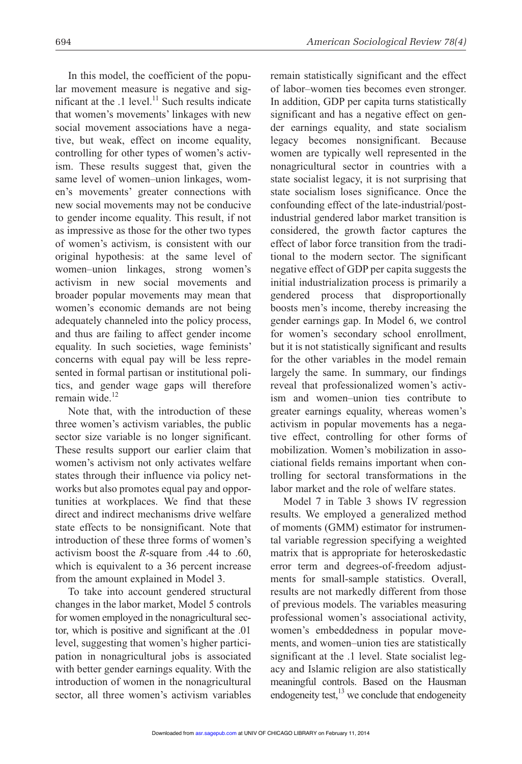In this model, the coefficient of the popular movement measure is negative and significant at the  $.1$  level.<sup>11</sup> Such results indicate that women's movements' linkages with new social movement associations have a negative, but weak, effect on income equality, controlling for other types of women's activism. These results suggest that, given the same level of women–union linkages, women's movements' greater connections with new social movements may not be conducive to gender income equality. This result, if not as impressive as those for the other two types of women's activism, is consistent with our original hypothesis: at the same level of women–union linkages, strong women's activism in new social movements and broader popular movements may mean that women's economic demands are not being adequately channeled into the policy process, and thus are failing to affect gender income equality. In such societies, wage feminists' concerns with equal pay will be less represented in formal partisan or institutional politics, and gender wage gaps will therefore remain wide.<sup>12</sup>

Note that, with the introduction of these three women's activism variables, the public sector size variable is no longer significant. These results support our earlier claim that women's activism not only activates welfare states through their influence via policy networks but also promotes equal pay and opportunities at workplaces. We find that these direct and indirect mechanisms drive welfare state effects to be nonsignificant. Note that introduction of these three forms of women's activism boost the *R*-square from .44 to .60, which is equivalent to a 36 percent increase from the amount explained in Model 3.

To take into account gendered structural changes in the labor market, Model 5 controls for women employed in the nonagricultural sector, which is positive and significant at the .01 level, suggesting that women's higher participation in nonagricultural jobs is associated with better gender earnings equality. With the introduction of women in the nonagricultural sector, all three women's activism variables remain statistically significant and the effect of labor–women ties becomes even stronger. In addition, GDP per capita turns statistically significant and has a negative effect on gender earnings equality, and state socialism legacy becomes nonsignificant. Because women are typically well represented in the nonagricultural sector in countries with a state socialist legacy, it is not surprising that state socialism loses significance. Once the confounding effect of the late-industrial/postindustrial gendered labor market transition is considered, the growth factor captures the effect of labor force transition from the traditional to the modern sector. The significant negative effect of GDP per capita suggests the initial industrialization process is primarily a gendered process that disproportionally boosts men's income, thereby increasing the gender earnings gap. In Model 6, we control for women's secondary school enrollment, but it is not statistically significant and results for the other variables in the model remain largely the same. In summary, our findings reveal that professionalized women's activism and women–union ties contribute to greater earnings equality, whereas women's activism in popular movements has a negative effect, controlling for other forms of mobilization. Women's mobilization in associational fields remains important when controlling for sectoral transformations in the labor market and the role of welfare states.

Model 7 in Table 3 shows IV regression results. We employed a generalized method of moments (GMM) estimator for instrumental variable regression specifying a weighted matrix that is appropriate for heteroskedastic error term and degrees-of-freedom adjustments for small-sample statistics. Overall, results are not markedly different from those of previous models. The variables measuring professional women's associational activity, women's embeddedness in popular movements, and women–union ties are statistically significant at the .1 level. State socialist legacy and Islamic religion are also statistically meaningful controls. Based on the Hausman [endogeneity](http://asr.sagepub.com/) test, $^{13}$  we conclude that endogeneity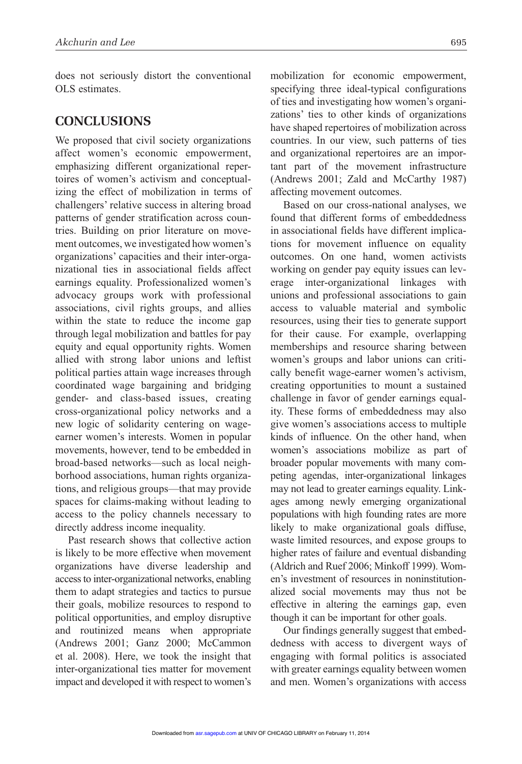does not seriously distort the conventional OLS estimates.

## **CONCLUSIONS**

We proposed that civil society organizations affect women's economic empowerment, emphasizing different organizational repertoires of women's activism and conceptualizing the effect of mobilization in terms of challengers' relative success in altering broad patterns of gender stratification across countries. Building on prior literature on movement outcomes, we investigated how women's organizations' capacities and their inter-organizational ties in associational fields affect earnings equality. Professionalized women's advocacy groups work with professional associations, civil rights groups, and allies within the state to reduce the income gap through legal mobilization and battles for pay equity and equal opportunity rights. Women allied with strong labor unions and leftist political parties attain wage increases through coordinated wage bargaining and bridging gender- and class-based issues, creating cross-organizational policy networks and a new logic of solidarity centering on wageearner women's interests. Women in popular movements, however, tend to be embedded in broad-based networks—such as local neighborhood associations, human rights organizations, and religious groups—that may provide spaces for claims-making without leading to access to the policy channels necessary to directly address income inequality.

Past research shows that collective action is likely to be more effective when movement organizations have diverse leadership and access to inter-organizational networks, enabling them to adapt strategies and tactics to pursue their goals, mobilize resources to respond to political opportunities, and employ disruptive and routinized means when appropriate (Andrews 2001; Ganz 2000; McCammon et al. 2008). Here, we took the insight that inter-organizational ties matter for movement impact and developed it with respect to women's

mobilization for economic empowerment, specifying three ideal-typical configurations of ties and investigating how women's organizations' ties to other kinds of organizations have shaped repertoires of mobilization across countries. In our view, such patterns of ties and organizational repertoires are an important part of the movement infrastructure (Andrews 2001; Zald and McCarthy 1987) affecting movement outcomes.

Based on our cross-national analyses, we found that different forms of embeddedness in associational fields have different implications for movement influence on equality outcomes. On one hand, women activists working on gender pay equity issues can leverage inter-organizational linkages with unions and professional associations to gain access to valuable material and symbolic resources, using their ties to generate support for their cause. For example, overlapping memberships and resource sharing between women's groups and labor unions can critically benefit wage-earner women's activism, creating opportunities to mount a sustained challenge in favor of gender earnings equality. These forms of embeddedness may also give women's associations access to multiple kinds of influence. On the other hand, when women's associations mobilize as part of broader popular movements with many competing agendas, inter-organizational linkages may not lead to greater earnings equality. Linkages among newly emerging organizational populations with high founding rates are more likely to make organizational goals diffuse, waste limited resources, and expose groups to higher rates of failure and eventual disbanding (Aldrich and Ruef 2006; Minkoff 1999). Women's investment of resources in noninstitutionalized social movements may thus not be effective in altering the earnings gap, even though it can be important for other goals.

Our findings generally suggest that embeddedness with access to divergent ways of engaging with formal politics is associated with greater earnings equality between women and men. Women's organizations with access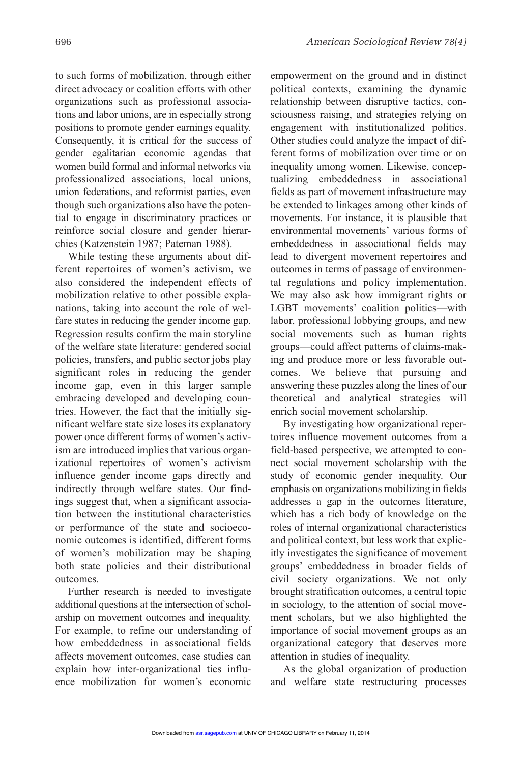to such forms of mobilization, through either direct advocacy or coalition efforts with other organizations such as professional associations and labor unions, are in especially strong positions to promote gender earnings equality. Consequently, it is critical for the success of gender egalitarian economic agendas that women build formal and informal networks via professionalized associations, local unions, union federations, and reformist parties, even though such organizations also have the potential to engage in discriminatory practices or reinforce social closure and gender hierarchies (Katzenstein 1987; Pateman 1988).

While testing these arguments about different repertoires of women's activism, we also considered the independent effects of mobilization relative to other possible explanations, taking into account the role of welfare states in reducing the gender income gap. Regression results confirm the main storyline of the welfare state literature: gendered social policies, transfers, and public sector jobs play significant roles in reducing the gender income gap, even in this larger sample embracing developed and developing countries. However, the fact that the initially significant welfare state size loses its explanatory power once different forms of women's activism are introduced implies that various organizational repertoires of women's activism influence gender income gaps directly and indirectly through welfare states. Our findings suggest that, when a significant association between the institutional characteristics or performance of the state and socioeconomic outcomes is identified, different forms of women's mobilization may be shaping both state policies and their distributional outcomes.

Further research is needed to investigate additional questions at the intersection of scholarship on movement outcomes and inequality. For example, to refine our understanding of how embeddedness in associational fields affects movement outcomes, case studies can explain how inter-organizational ties influence mobilization for women's economic empowerment on the ground and in distinct political contexts, examining the dynamic relationship between disruptive tactics, consciousness raising, and strategies relying on engagement with institutionalized politics. Other studies could analyze the impact of different forms of mobilization over time or on inequality among women. Likewise, conceptualizing embeddedness in associational fields as part of movement infrastructure may be extended to linkages among other kinds of movements. For instance, it is plausible that environmental movements' various forms of embeddedness in associational fields may lead to divergent movement repertoires and outcomes in terms of passage of environmental regulations and policy implementation. We may also ask how immigrant rights or LGBT movements' coalition politics—with labor, professional lobbying groups, and new social movements such as human rights groups—could affect patterns of claims-making and produce more or less favorable outcomes. We believe that pursuing and answering these puzzles along the lines of our theoretical and analytical strategies will enrich social movement scholarship.

By investigating how organizational repertoires influence movement outcomes from a field-based perspective, we attempted to connect social movement scholarship with the study of economic gender inequality. Our emphasis on organizations mobilizing in fields addresses a gap in the outcomes literature, which has a rich body of knowledge on the roles of internal organizational characteristics and political context, but less work that explicitly investigates the significance of movement groups' embeddedness in broader fields of civil society organizations. We not only brought stratification outcomes, a central topic in sociology, to the attention of social movement scholars, but we also highlighted the importance of social movement groups as an organizational category that deserves more attention in studies of inequality.

As the global organization of production and welfare state restructuring processes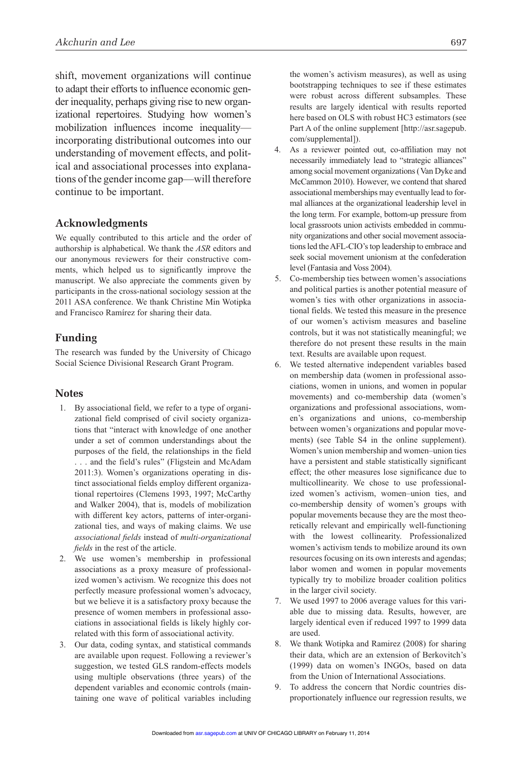shift, movement organizations will continue to adapt their efforts to influence economic gender inequality, perhaps giving rise to new organizational repertoires. Studying how women's mobilization influences income inequality incorporating distributional outcomes into our understanding of movement effects, and political and associational processes into explanations of the gender income gap—will therefore continue to be important.

## **Acknowledgments**

We equally contributed to this article and the order of authorship is alphabetical. We thank the *ASR* editors and our anonymous reviewers for their constructive comments, which helped us to significantly improve the manuscript. We also appreciate the comments given by participants in the cross-national sociology session at the 2011 ASA conference. We thank Christine Min Wotipka and Francisco Ramírez for sharing their data.

## **Funding**

The research was funded by the University of Chicago Social Science Divisional Research Grant Program.

#### **Notes**

- 1. By associational field, we refer to a type of organizational field comprised of civil society organizations that "interact with knowledge of one another under a set of common understandings about the purposes of the field, the relationships in the field . . . and the field's rules" (Fligstein and McAdam 2011:3). Women's organizations operating in distinct associational fields employ different organizational repertoires (Clemens 1993, 1997; McCarthy and Walker 2004), that is, models of mobilization with different key actors, patterns of inter-organizational ties, and ways of making claims. We use *associational fields* instead of *multi-organizational fields* in the rest of the article.
- 2. We use women's membership in professional associations as a proxy measure of professionalized women's activism. We recognize this does not perfectly measure professional women's advocacy, but we believe it is a satisfactory proxy because the presence of women members in professional associations in associational fields is likely highly correlated with this form of associational activity.
- 3. Our data, coding syntax, and statistical commands are available upon request. Following a reviewer's suggestion, we tested GLS random-effects models using multiple observations (three years) of the dependent variables and economic controls (maintaining one wave of political variables including

the women's activism measures), as well as using bootstrapping techniques to see if these estimates were robust across different subsamples. These results are largely identical with results reported here based on OLS with robust HC3 estimators (see Part A of the online supplement [http://asr.sagepub. com/supplemental]).

- 4. As a reviewer pointed out, co-affiliation may not necessarily immediately lead to "strategic alliances" among social movement organizations (Van Dyke and McCammon 2010). However, we contend that shared associational memberships may eventually lead to formal alliances at the organizational leadership level in the long term. For example, bottom-up pressure from local grassroots union activists embedded in community organizations and other social movement associations led the AFL-CIO's top leadership to embrace and seek social movement unionism at the confederation level (Fantasia and Voss 2004).
- 5. Co-membership ties between women's associations and political parties is another potential measure of women's ties with other organizations in associational fields. We tested this measure in the presence of our women's activism measures and baseline controls, but it was not statistically meaningful; we therefore do not present these results in the main text. Results are available upon request.
- 6. We tested alternative independent variables based on membership data (women in professional associations, women in unions, and women in popular movements) and co-membership data (women's organizations and professional associations, women's organizations and unions, co-membership between women's organizations and popular movements) (see Table S4 in the online supplement). Women's union membership and women–union ties have a persistent and stable statistically significant effect; the other measures lose significance due to multicollinearity. We chose to use professionalized women's activism, women–union ties, and co-membership density of women's groups with popular movements because they are the most theoretically relevant and empirically well-functioning with the lowest collinearity. Professionalized women's activism tends to mobilize around its own resources focusing on its own interests and agendas; labor women and women in popular movements typically try to mobilize broader coalition politics in the larger civil society.
- 7. We used 1997 to 2006 average values for this variable due to missing data. Results, however, are largely identical even if reduced 1997 to 1999 data are used.
- 8. We thank Wotipka and Ramirez (2008) for sharing their data, which are an extension of Berkovitch's (1999) data on women's INGOs, based on data from the Union of International Associations.
- 9. To address the concern that Nordic countries dis[proporti](http://asr.sagepub.com/)onately influence our regression results, we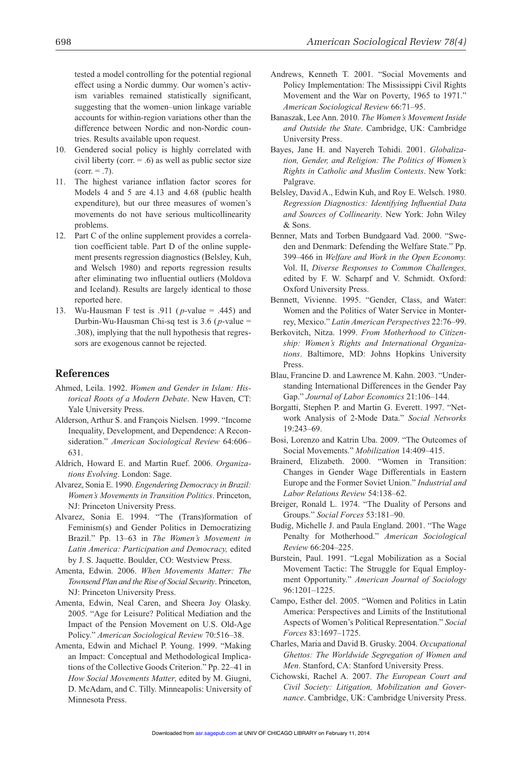tested a model controlling for the potential regional effect using a Nordic dummy. Our women's activism variables remained statistically significant, suggesting that the women–union linkage variable accounts for within-region variations other than the difference between Nordic and non-Nordic countries. Results available upon request.

- 10. Gendered social policy is highly correlated with civil liberty (corr.  $= .6$ ) as well as public sector size  $(corr. = .7)$ .
- 11. The highest variance inflation factor scores for Models 4 and 5 are 4.13 and 4.68 (public health expenditure), but our three measures of women's movements do not have serious multicollinearity problems.
- 12. Part C of the online supplement provides a correlation coefficient table. Part D of the online supplement presents regression diagnostics (Belsley, Kuh, and Welsch 1980) and reports regression results after eliminating two influential outliers (Moldova and Iceland). Results are largely identical to those reported here.
- 13. Wu-Hausman F test is .911 ( *p*-value = .445) and Durbin-Wu-Hausman Chi-sq test is 3.6 (*p*-value = .308), implying that the null hypothesis that regressors are exogenous cannot be rejected.

#### **References**

- Ahmed, Leila. 1992. *Women and Gender in Islam: Historical Roots of a Modern Debate*. New Haven, CT: Yale University Press.
- Alderson, Arthur S. and François Nielsen. 1999. "Income Inequality, Development, and Dependence: A Reconsideration." *American Sociological Review* 64:606– 631.
- Aldrich, Howard E. and Martin Ruef. 2006. *Organizations Evolving*. London: Sage.
- Alvarez, Sonia E. 1990. *Engendering Democracy in Brazil: Women's Movements in Transition Politics*. Princeton, NJ: Princeton University Press.
- Alvarez, Sonia E. 1994. "The (Trans)formation of Feminism(s) and Gender Politics in Democratizing Brazil." Pp. 13–63 in *The Women's Movement in Latin America: Participation and Democracy,* edited by J. S. Jaquette. Boulder, CO: Westview Press.
- Amenta, Edwin. 2006. *When Movements Matter: The Townsend Plan and the Rise of Social Security*. Princeton, NJ: Princeton University Press.
- Amenta, Edwin, Neal Caren, and Sheera Joy Olasky. 2005. "Age for Leisure? Political Mediation and the Impact of the Pension Movement on U.S. Old-Age Policy." *American Sociological Review* 70:516–38.
- Amenta, Edwin and Michael P. Young. 1999. "Making an Impact: Conceptual and Methodological Implications of the Collective Goods Criterion." Pp. 22–41 in *How Social Movements Matter,* edited by M. Giugni, D. McAdam, and C. Tilly. Minneapolis: University of Minnesota Press.
- Andrews, Kenneth T. 2001. "Social Movements and Policy Implementation: The Mississippi Civil Rights Movement and the War on Poverty, 1965 to 1971." *American Sociological Review* 66:71–95.
- Banaszak, Lee Ann. 2010. *The Women's Movement Inside and Outside the State*. Cambridge, UK: Cambridge University Press.
- Bayes, Jane H. and Nayereh Tohidi. 2001. *Globalization, Gender, and Religion: The Politics of Women's Rights in Catholic and Muslim Contexts*. New York: Palgrave.
- Belsley, David A., Edwin Kuh, and Roy E. Welsch. 1980. *Regression Diagnostics: Identifying Influential Data and Sources of Collinearity*. New York: John Wiley & Sons.
- Benner, Mats and Torben Bundgaard Vad. 2000. "Sweden and Denmark: Defending the Welfare State." Pp. 399–466 in *Welfare and Work in the Open Economy.*  Vol. II, *Diverse Responses to Common Challenges,* edited by F. W. Scharpf and V. Schmidt. Oxford: Oxford University Press.
- Bennett, Vivienne. 1995. "Gender, Class, and Water: Women and the Politics of Water Service in Monterrey, Mexico." *Latin American Perspectives* 22:76–99.
- Berkovitch, Nitza. 1999. *From Motherhood to Citizenship: Women's Rights and International Organizations*. Baltimore, MD: Johns Hopkins University Press.
- Blau, Francine D. and Lawrence M. Kahn. 2003. "Understanding International Differences in the Gender Pay Gap." *Journal of Labor Economics* 21:106–144.
- Borgatti, Stephen P. and Martin G. Everett. 1997. "Network Analysis of 2-Mode Data." *Social Networks* 19:243–69.
- Bosi, Lorenzo and Katrin Uba. 2009. "The Outcomes of Social Movements." *Mobilization* 14:409–415.
- Brainerd, Elizabeth. 2000. "Women in Transition: Changes in Gender Wage Differentials in Eastern Europe and the Former Soviet Union." *Industrial and Labor Relations Review* 54:138–62.
- Breiger, Ronald L. 1974. "The Duality of Persons and Groups." *Social Forces* 53:181–90.
- Budig, Michelle J. and Paula England. 2001. "The Wage Penalty for Motherhood." *American Sociological Review* 66:204–225.
- Burstein, Paul. 1991. "Legal Mobilization as a Social Movement Tactic: The Struggle for Equal Employment Opportunity." *American Journal of Sociology* 96:1201–1225.
- Campo, Esther del. 2005. "Women and Politics in Latin America: Perspectives and Limits of the Institutional Aspects of Women's Political Representation." *Social Forces* 83:1697–1725.
- Charles, Maria and David B. Grusky. 2004. *Occupational Ghettos: The Worldwide Segregation of Women and Men*. Stanford, CA: Stanford University Press.
- Cichowski, Rachel A. 2007. *The European Court and Civil Society: Litigation, Mobilization and Gover[nance](http://asr.sagepub.com/)*. Cambridge, UK: Cambridge University Press.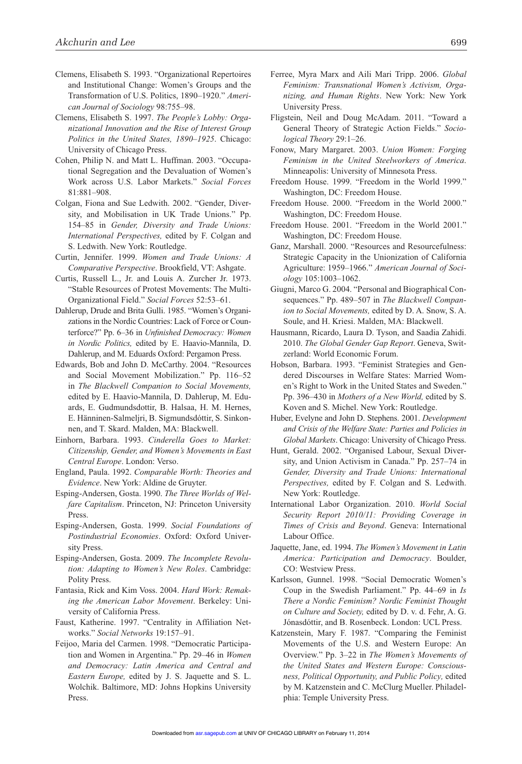- Clemens, Elisabeth S. 1993. "Organizational Repertoires and Institutional Change: Women's Groups and the Transformation of U.S. Politics, 1890–1920." *American Journal of Sociology* 98:755–98.
- Clemens, Elisabeth S. 1997. *The People's Lobby: Organizational Innovation and the Rise of Interest Group Politics in the United States, 1890–1925*. Chicago: University of Chicago Press.
- Cohen, Philip N. and Matt L. Huffman. 2003. "Occupational Segregation and the Devaluation of Women's Work across U.S. Labor Markets." *Social Forces* 81:881–908.
- Colgan, Fiona and Sue Ledwith. 2002. "Gender, Diversity, and Mobilisation in UK Trade Unions." Pp. 154–85 in *Gender, Diversity and Trade Unions: International Perspectives,* edited by F. Colgan and S. Ledwith. New York: Routledge.
- Curtin, Jennifer. 1999. *Women and Trade Unions: A Comparative Perspective*. Brookfield, VT: Ashgate.
- Curtis, Russell L., Jr. and Louis A. Zurcher Jr. 1973. "Stable Resources of Protest Movements: The Multi-Organizational Field." *Social Forces* 52:53–61.
- Dahlerup, Drude and Brita Gulli. 1985. "Women's Organizations in the Nordic Countries: Lack of Force or Counterforce?" Pp. 6–36 in *Unfinished Democracy: Women in Nordic Politics,* edited by E. Haavio-Mannila, D. Dahlerup, and M. Eduards Oxford: Pergamon Press.
- Edwards, Bob and John D. McCarthy. 2004. "Resources and Social Movement Mobilization." Pp. 116–52 in *The Blackwell Companion to Social Movements,* edited by E. Haavio-Mannila, D. Dahlerup, M. Eduards, E. Gudmundsdottir, B. Halsaa, H. M. Hernes, E. Hänninen-Salmeljri, B. Sigmundsdóttir, S. Sinkonnen, and T. Skard. Malden, MA: Blackwell.
- Einhorn, Barbara. 1993. *Cinderella Goes to Market: Citizenship, Gender, and Women's Movements in East Central Europe*. London: Verso.
- England, Paula. 1992. *Comparable Worth: Theories and Evidence*. New York: Aldine de Gruyter.
- Esping-Andersen, Gosta. 1990. *The Three Worlds of Welfare Capitalism*. Princeton, NJ: Princeton University Press.
- Esping-Andersen, Gosta. 1999. *Social Foundations of Postindustrial Economies*. Oxford: Oxford University Press.
- Esping-Andersen, Gosta. 2009. *The Incomplete Revolution: Adapting to Women's New Roles*. Cambridge: Polity Press.
- Fantasia, Rick and Kim Voss. 2004. *Hard Work: Remaking the American Labor Movement*. Berkeley: University of California Press.
- Faust, Katherine. 1997. "Centrality in Affiliation Networks." *Social Networks* 19:157–91.
- Feijoo, Maria del Carmen. 1998. "Democratic Participation and Women in Argentina." Pp. 29–46 in *Women and Democracy: Latin America and Central and Eastern Europe,* edited by J. S. Jaquette and S. L. Wolchik. Baltimore, MD: Johns Hopkins University Press.
- Ferree, Myra Marx and Aili Mari Tripp. 2006. *Global Feminism: Transnational Women's Activism, Organizing, and Human Rights*. New York: New York University Press.
- Fligstein, Neil and Doug McAdam. 2011. "Toward a General Theory of Strategic Action Fields." *Sociological Theory* 29:1–26.
- Fonow, Mary Margaret. 2003. *Union Women: Forging Feminism in the United Steelworkers of America*. Minneapolis: University of Minnesota Press.
- Freedom House. 1999. "Freedom in the World 1999." Washington, DC: Freedom House.
- Freedom House. 2000. "Freedom in the World 2000." Washington, DC: Freedom House.
- Freedom House. 2001. "Freedom in the World 2001." Washington, DC: Freedom House.
- Ganz, Marshall. 2000. "Resources and Resourcefulness: Strategic Capacity in the Unionization of California Agriculture: 1959–1966." *American Journal of Sociology* 105:1003–1062.
- Giugni, Marco G. 2004. "Personal and Biographical Consequences." Pp. 489–507 in *The Blackwell Companion to Social Movements,* edited by D. A. Snow, S. A. Soule, and H. Kriesi. Malden, MA: Blackwell.
- Hausmann, Ricardo, Laura D. Tyson, and Saadia Zahidi. 2010. *The Global Gender Gap Report*. Geneva, Switzerland: World Economic Forum.
- Hobson, Barbara. 1993. "Feminist Strategies and Gendered Discourses in Welfare States: Married Women's Right to Work in the United States and Sweden." Pp. 396–430 in *Mothers of a New World,* edited by S. Koven and S. Michel. New York: Routledge.
- Huber, Evelyne and John D. Stephens. 2001. *Development and Crisis of the Welfare State: Parties and Policies in Global Markets*. Chicago: University of Chicago Press.
- Hunt, Gerald. 2002. "Organised Labour, Sexual Diversity, and Union Activism in Canada." Pp. 257–74 in *Gender, Diversity and Trade Unions: International Perspectives,* edited by F. Colgan and S. Ledwith. New York: Routledge.
- International Labor Organization. 2010. *World Social Security Report 2010/11: Providing Coverage in Times of Crisis and Beyond*. Geneva: International Labour Office.
- Jaquette, Jane, ed. 1994. *The Women's Movement in Latin America: Participation and Democracy*. Boulder, CO: Westview Press.
- Karlsson, Gunnel. 1998. "Social Democratic Women's Coup in the Swedish Parliament." Pp. 44–69 in *Is There a Nordic Feminism? Nordic Feminist Thought on Culture and Society,* edited by D. v. d. Fehr, A. G. Jónasdóttir, and B. Rosenbeck. London: UCL Press.
- Katzenstein, Mary F. 1987. "Comparing the Feminist Movements of the U.S. and Western Europe: An Overview." Pp. 3–22 in *The Women's Movements of the United States and Western Europe: Consciousness, Political Opportunity, and Public Policy,* edited by M. Katzenstein and C. McClurg Mueller. Philadel[phia: Tem](http://asr.sagepub.com/)ple University Press.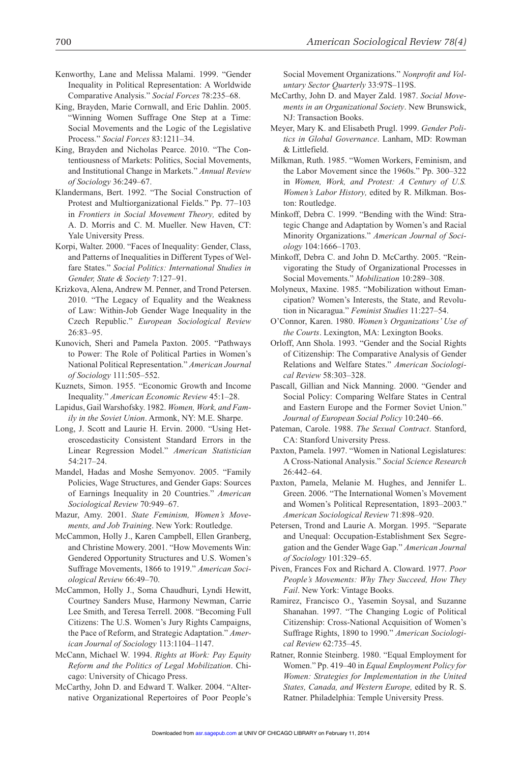- Kenworthy, Lane and Melissa Malami. 1999. "Gender Inequality in Political Representation: A Worldwide Comparative Analysis." *Social Forces* 78:235–68.
- King, Brayden, Marie Cornwall, and Eric Dahlin. 2005. "Winning Women Suffrage One Step at a Time: Social Movements and the Logic of the Legislative Process." *Social Forces* 83:1211–34.
- King, Brayden and Nicholas Pearce. 2010. "The Contentiousness of Markets: Politics, Social Movements, and Institutional Change in Markets." *Annual Review of Sociology* 36:249–67.
- Klandermans, Bert. 1992. "The Social Construction of Protest and Multiorganizational Fields." Pp. 77–103 in *Frontiers in Social Movement Theory,* edited by A. D. Morris and C. M. Mueller. New Haven, CT: Yale University Press.
- Korpi, Walter. 2000. "Faces of Inequality: Gender, Class, and Patterns of Inequalities in Different Types of Welfare States." *Social Politics: International Studies in Gender, State & Society* 7:127–91.
- Krizkova, Alena, Andrew M. Penner, and Trond Petersen. 2010. "The Legacy of Equality and the Weakness of Law: Within-Job Gender Wage Inequality in the Czech Republic." *European Sociological Review* 26:83–95.
- Kunovich, Sheri and Pamela Paxton. 2005. "Pathways to Power: The Role of Political Parties in Women's National Political Representation." *American Journal of Sociology* 111:505–552.
- Kuznets, Simon. 1955. "Economic Growth and Income Inequality." *American Economic Review* 45:1–28.
- Lapidus, Gail Warshofsky. 1982. *Women, Work, and Family in the Soviet Union*. Armonk, NY: M.E. Sharpe.
- Long, J. Scott and Laurie H. Ervin. 2000. "Using Heteroscedasticity Consistent Standard Errors in the Linear Regression Model." *American Statistician* 54:217–24.
- Mandel, Hadas and Moshe Semyonov. 2005. "Family Policies, Wage Structures, and Gender Gaps: Sources of Earnings Inequality in 20 Countries." *American Sociological Review* 70:949–67.
- Mazur, Amy. 2001. *State Feminism, Women's Movements, and Job Training*. New York: Routledge.
- McCammon, Holly J., Karen Campbell, Ellen Granberg, and Christine Mowery. 2001. "How Movements Win: Gendered Opportunity Structures and U.S. Women's Suffrage Movements, 1866 to 1919." *American Sociological Review* 66:49–70.
- McCammon, Holly J., Soma Chaudhuri, Lyndi Hewitt, Courtney Sanders Muse, Harmony Newman, Carrie Lee Smith, and Teresa Terrell. 2008. "Becoming Full Citizens: The U.S. Women's Jury Rights Campaigns, the Pace of Reform, and Strategic Adaptation." *American Journal of Sociology* 113:1104–1147.
- McCann, Michael W. 1994. *Rights at Work: Pay Equity Reform and the Politics of Legal Mobilization*. Chicago: University of Chicago Press.
- McCarthy, John D. and Edward T. Walker. 2004. "Alternative Organizational Repertoires of Poor People's

Social Movement Organizations." *Nonprofit and Voluntary Sector Quarterly* 33:97S–119S.

- McCarthy, John D. and Mayer Zald. 1987. *Social Movements in an Organizational Society*. New Brunswick, NJ: Transaction Books.
- Meyer, Mary K. and Elisabeth Prugl. 1999. *Gender Politics in Global Governance*. Lanham, MD: Rowman & Littlefield.
- Milkman, Ruth. 1985. "Women Workers, Feminism, and the Labor Movement since the 1960s." Pp. 300–322 in *Women, Work, and Protest: A Century of U.S. Women's Labor History,* edited by R. Milkman. Boston: Routledge.
- Minkoff, Debra C. 1999. "Bending with the Wind: Strategic Change and Adaptation by Women's and Racial Minority Organizations." *American Journal of Sociology* 104:1666–1703.
- Minkoff, Debra C. and John D. McCarthy. 2005. "Reinvigorating the Study of Organizational Processes in Social Movements." *Mobilization* 10:289–308.
- Molyneux, Maxine. 1985. "Mobilization without Emancipation? Women's Interests, the State, and Revolution in Nicaragua." *Feminist Studies* 11:227–54.
- O'Connor, Karen. 1980. *Women's Organizations' Use of the Courts*. Lexington, MA: Lexington Books.
- Orloff, Ann Shola. 1993. "Gender and the Social Rights of Citizenship: The Comparative Analysis of Gender Relations and Welfare States." *American Sociological Review* 58:303–328.
- Pascall, Gillian and Nick Manning. 2000. "Gender and Social Policy: Comparing Welfare States in Central and Eastern Europe and the Former Soviet Union." *Journal of European Social Policy* 10:240–66.
- Pateman, Carole. 1988. *The Sexual Contract*. Stanford, CA: Stanford University Press.
- Paxton, Pamela. 1997. "Women in National Legislatures: A Cross-National Analysis." *Social Science Research* 26:442–64.
- Paxton, Pamela, Melanie M. Hughes, and Jennifer L. Green. 2006. "The International Women's Movement and Women's Political Representation, 1893–2003." *American Sociological Review* 71:898–920.
- Petersen, Trond and Laurie A. Morgan. 1995. "Separate and Unequal: Occupation-Establishment Sex Segregation and the Gender Wage Gap." *American Journal of Sociology* 101:329–65.
- Piven, Frances Fox and Richard A. Cloward. 1977. *Poor People's Movements: Why They Succeed, How They Fail*. New York: Vintage Books.
- Ramirez, Francisco O., Yasemin Soysal, and Suzanne Shanahan. 1997. "The Changing Logic of Political Citizenship: Cross-National Acquisition of Women's Suffrage Rights, 1890 to 1990." *American Sociological Review* 62:735–45.
- Ratner, Ronnie Steinberg. 1980. "Equal Employment for Women." Pp. 419–40 in *Equal Employment Policy for Women: Strategies for Implementation in the United States, Canada, and Western Europe,* edited by R. S. [Ratner. Ph](http://asr.sagepub.com/)iladelphia: Temple University Press.